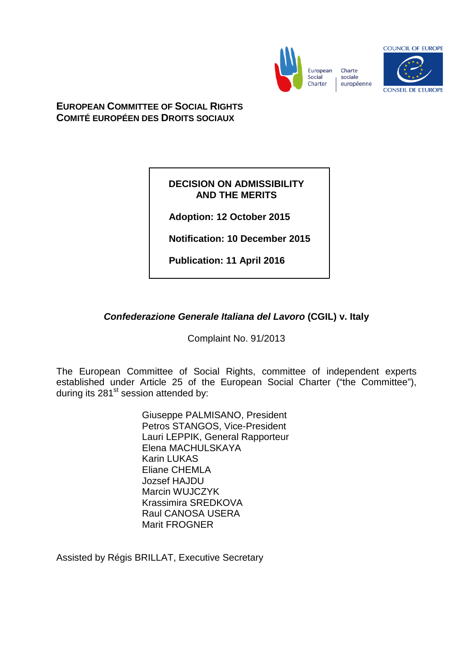

European Charte sociale européenne



**EUROPEAN COMMITTEE OF SOCIAL RIGHTS COMITÉ EUROPÉEN DES DROITS SOCIAUX**

# **DECISION ON ADMISSIBILITY AND THE MERITS**

**Adoption: 12 October 2015**

**Notification: 10 December 2015**

**Publication: 11 April 2016**

# *Confederazione Generale Italiana del Lavoro* **(CGIL) v. Italy**

Complaint No. 91/2013

The European Committee of Social Rights, committee of independent experts established under Article 25 of the European Social Charter ("the Committee"), during its 281<sup>st</sup> session attended by:

> Giuseppe PALMISANO, President Petros STANGOS, Vice-President Lauri LEPPIK, General Rapporteur Elena MACHULSKAYA Karin LUKAS Eliane CHEMLA Jozsef HAJDU Marcin WUJCZYK Krassimira SREDKOVA Raul CANOSA USERA Marit FROGNER

Assisted by Régis BRILLAT, Executive Secretary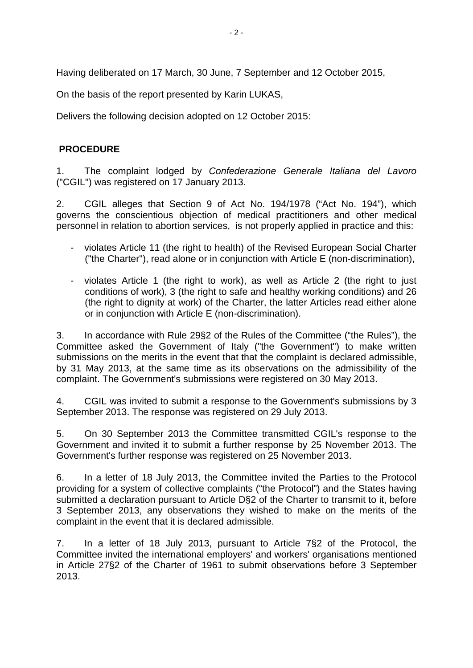Having deliberated on 17 March, 30 June, 7 September and 12 October 2015,

On the basis of the report presented by Karin LUKAS,

Delivers the following decision adopted on 12 October 2015:

# **PROCEDURE**

1. The complaint lodged by *Confederazione Generale Italiana del Lavoro* ("CGIL") was registered on 17 January 2013.

2. CGIL alleges that Section 9 of Act No. 194/1978 ("Act No. 194"), which governs the conscientious objection of medical practitioners and other medical personnel in relation to abortion services, is not properly applied in practice and this:

- violates Article 11 (the right to health) of the Revised European Social Charter ("the Charter"), read alone or in conjunction with Article E (non-discrimination),
- violates Article 1 (the right to work), as well as Article 2 (the right to just conditions of work), 3 (the right to safe and healthy working conditions) and 26 (the right to dignity at work) of the Charter, the latter Articles read either alone or in conjunction with Article E (non-discrimination).

3. In accordance with Rule 29§2 of the Rules of the Committee ("the Rules"), the Committee asked the Government of Italy ("the Government") to make written submissions on the merits in the event that that the complaint is declared admissible, by 31 May 2013, at the same time as its observations on the admissibility of the complaint. The Government's submissions were registered on 30 May 2013.

4. CGIL was invited to submit a response to the Government's submissions by 3 September 2013. The response was registered on 29 July 2013.

5. On 30 September 2013 the Committee transmitted CGIL's response to the Government and invited it to submit a further response by 25 November 2013. The Government's further response was registered on 25 November 2013.

6. In a letter of 18 July 2013, the Committee invited the Parties to the Protocol providing for a system of collective complaints ("the Protocol") and the States having submitted a declaration pursuant to Article D§2 of the Charter to transmit to it, before 3 September 2013, any observations they wished to make on the merits of the complaint in the event that it is declared admissible.

7. In a letter of 18 July 2013, pursuant to Article 7§2 of the Protocol, the Committee invited the international employers' and workers' organisations mentioned in Article 27§2 of the Charter of 1961 to submit observations before 3 September 2013.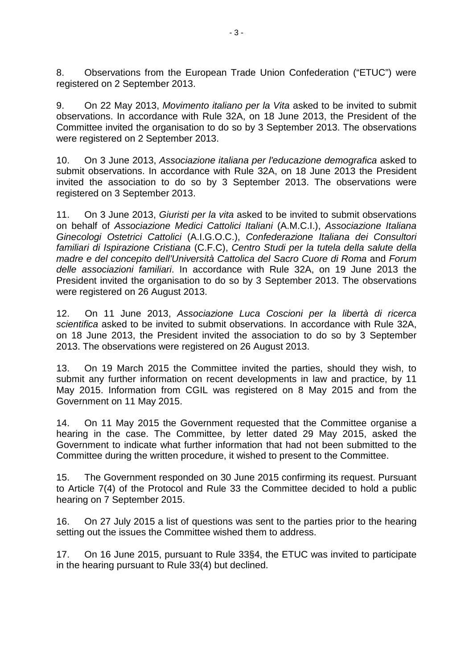8. Observations from the European Trade Union Confederation ("ETUC") were registered on 2 September 2013.

9. On 22 May 2013, *Movimento italiano per la Vita* asked to be invited to submit observations. In accordance with Rule 32A, on 18 June 2013, the President of the Committee invited the organisation to do so by 3 September 2013. The observations were registered on 2 September 2013.

10. On 3 June 2013, *Associazione italiana per l'educazione demografica* asked to submit observations. In accordance with Rule 32A, on 18 June 2013 the President invited the association to do so by 3 September 2013. The observations were registered on 3 September 2013.

11. On 3 June 2013, *Giuristi per la vita* asked to be invited to submit observations on behalf of *Associazione Medici Cattolici Italiani* (A.M.C.I.), *Associazione Italiana Ginecologi Ostetrici Cattolici* (A.I.G.O.C.), *Confederazione Italiana dei Consultori familiari di Ispirazione Cristiana* (C.F.C), *Centro Studi per la tutela della salute della madre e del concepito dell'Università Cattolica del Sacro Cuore di Roma* and *Forum delle associazioni familiari*. In accordance with Rule 32A, on 19 June 2013 the President invited the organisation to do so by 3 September 2013. The observations were registered on 26 August 2013.

12. On 11 June 2013, *Associazione Luca Coscioni per la libertà di ricerca scientifica* asked to be invited to submit observations. In accordance with Rule 32A, on 18 June 2013, the President invited the association to do so by 3 September 2013. The observations were registered on 26 August 2013.

13. On 19 March 2015 the Committee invited the parties, should they wish, to submit any further information on recent developments in law and practice, by 11 May 2015. Information from CGIL was registered on 8 May 2015 and from the Government on 11 May 2015.

14. On 11 May 2015 the Government requested that the Committee organise a hearing in the case. The Committee, by letter dated 29 May 2015, asked the Government to indicate what further information that had not been submitted to the Committee during the written procedure, it wished to present to the Committee.

15. The Government responded on 30 June 2015 confirming its request. Pursuant to Article 7(4) of the Protocol and Rule 33 the Committee decided to hold a public hearing on 7 September 2015.

16. On 27 July 2015 a list of questions was sent to the parties prior to the hearing setting out the issues the Committee wished them to address.

17. On 16 June 2015, pursuant to Rule 33§4, the ETUC was invited to participate in the hearing pursuant to Rule 33(4) but declined.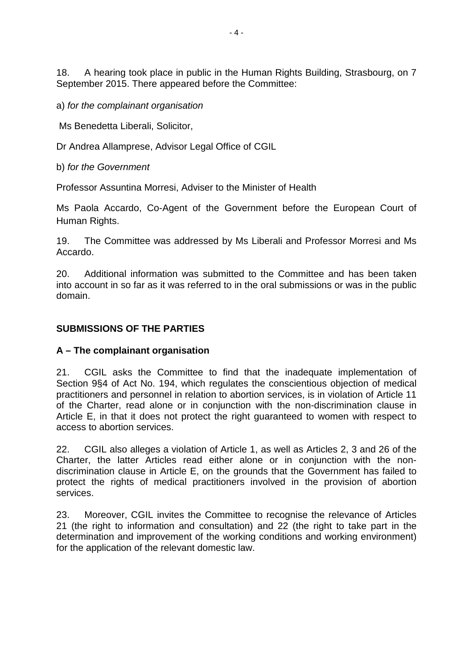18. A hearing took place in public in the Human Rights Building, Strasbourg, on 7 September 2015. There appeared before the Committee:

a) *for the complainant organisation*

Ms Benedetta Liberali, Solicitor,

Dr Andrea Allamprese, Advisor Legal Office of CGIL

b) *for the Government*

Professor Assuntina Morresi, Adviser to the Minister of Health

Ms Paola Accardo, Co-Agent of the Government before the European Court of Human Rights.

19. The Committee was addressed by Ms Liberali and Professor Morresi and Ms Accardo.

20. Additional information was submitted to the Committee and has been taken into account in so far as it was referred to in the oral submissions or was in the public domain.

## **SUBMISSIONS OF THE PARTIES**

# **A – The complainant organisation**

21. CGIL asks the Committee to find that the inadequate implementation of Section 9§4 of Act No. 194, which regulates the conscientious objection of medical practitioners and personnel in relation to abortion services, is in violation of Article 11 of the Charter, read alone or in conjunction with the non-discrimination clause in Article E, in that it does not protect the right guaranteed to women with respect to access to abortion services.

22. CGIL also alleges a violation of Article 1, as well as Articles 2, 3 and 26 of the Charter, the latter Articles read either alone or in conjunction with the nondiscrimination clause in Article E, on the grounds that the Government has failed to protect the rights of medical practitioners involved in the provision of abortion services.

23. Moreover, CGIL invites the Committee to recognise the relevance of Articles 21 (the right to information and consultation) and 22 (the right to take part in the determination and improvement of the working conditions and working environment) for the application of the relevant domestic law.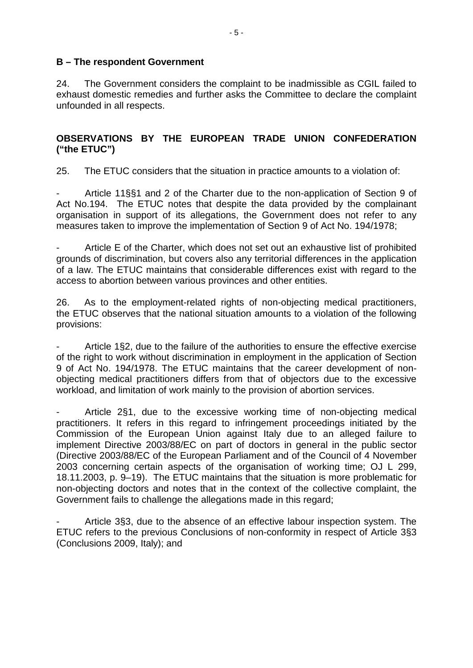### **B – The respondent Government**

24. The Government considers the complaint to be inadmissible as CGIL failed to exhaust domestic remedies and further asks the Committee to declare the complaint unfounded in all respects.

# **OBSERVATIONS BY THE EUROPEAN TRADE UNION CONFEDERATION ("the ETUC")**

25. The ETUC considers that the situation in practice amounts to a violation of:

- Article 11§§1 and 2 of the Charter due to the non-application of Section 9 of Act No.194. The ETUC notes that despite the data provided by the complainant organisation in support of its allegations, the Government does not refer to any measures taken to improve the implementation of Section 9 of Act No. 194/1978;

Article E of the Charter, which does not set out an exhaustive list of prohibited grounds of discrimination, but covers also any territorial differences in the application of a law. The ETUC maintains that considerable differences exist with regard to the access to abortion between various provinces and other entities.

26. As to the employment-related rights of non-objecting medical practitioners, the ETUC observes that the national situation amounts to a violation of the following provisions:

- Article 1§2, due to the failure of the authorities to ensure the effective exercise of the right to work without discrimination in employment in the application of Section 9 of Act No. 194/1978. The ETUC maintains that the career development of nonobjecting medical practitioners differs from that of objectors due to the excessive workload, and limitation of work mainly to the provision of abortion services.

Article 2§1, due to the excessive working time of non-objecting medical practitioners. It refers in this regard to infringement proceedings initiated by the Commission of the European Union against Italy due to an alleged failure to implement Directive 2003/88/EC on part of doctors in general in the public sector (Directive 2003/88/EC of the European Parliament and of the Council of 4 November 2003 concerning certain aspects of the organisation of working time; OJ L 299, 18.11.2003, p. 9–19). The ETUC maintains that the situation is more problematic for non-objecting doctors and notes that in the context of the collective complaint, the Government fails to challenge the allegations made in this regard;

Article 3§3, due to the absence of an effective labour inspection system. The ETUC refers to the previous Conclusions of non-conformity in respect of Article 3§3 (Conclusions 2009, Italy); and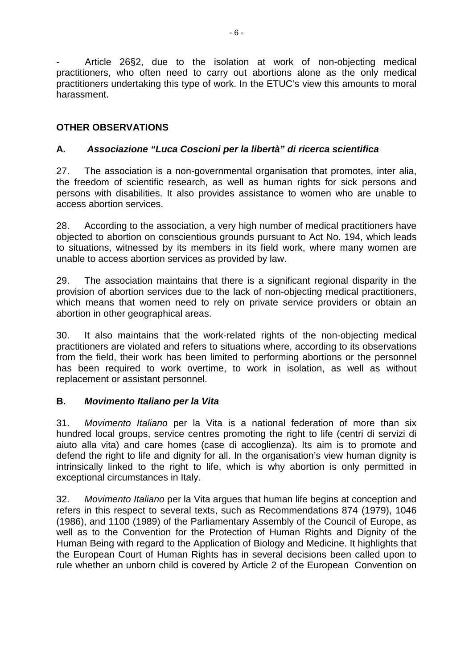Article 26§2, due to the isolation at work of non-objecting medical practitioners, who often need to carry out abortions alone as the only medical practitioners undertaking this type of work. In the ETUC's view this amounts to moral harassment.

# **OTHER OBSERVATIONS**

# **A.** *Associazione "Luca Coscioni per la libertà" di ricerca scientifica*

27. The association is a non-governmental organisation that promotes, inter alia, the freedom of scientific research, as well as human rights for sick persons and persons with disabilities. It also provides assistance to women who are unable to access abortion services.

28. According to the association, a very high number of medical practitioners have objected to abortion on conscientious grounds pursuant to Act No. 194, which leads to situations, witnessed by its members in its field work, where many women are unable to access abortion services as provided by law.

29. The association maintains that there is a significant regional disparity in the provision of abortion services due to the lack of non-objecting medical practitioners, which means that women need to rely on private service providers or obtain an abortion in other geographical areas.

30. It also maintains that the work-related rights of the non-objecting medical practitioners are violated and refers to situations where, according to its observations from the field, their work has been limited to performing abortions or the personnel has been required to work overtime, to work in isolation, as well as without replacement or assistant personnel.

# **B.** *Movimento Italiano per la Vita*

31. *Movimento Italiano* per la Vita is a national federation of more than six hundred local groups, service centres promoting the right to life (centri di servizi di aiuto alla vita) and care homes (case di accoglienza). Its aim is to promote and defend the right to life and dignity for all. In the organisation's view human dignity is intrinsically linked to the right to life, which is why abortion is only permitted in exceptional circumstances in Italy.

32. *Movimento Italiano* per la Vita argues that human life begins at conception and refers in this respect to several texts, such as Recommendations 874 (1979), 1046 (1986), and 1100 (1989) of the Parliamentary Assembly of the Council of Europe, as well as to the Convention for the Protection of Human Rights and Dignity of the Human Being with regard to the Application of Biology and Medicine. It highlights that the European Court of Human Rights has in several decisions been called upon to rule whether an unborn child is covered by Article 2 of the European Convention on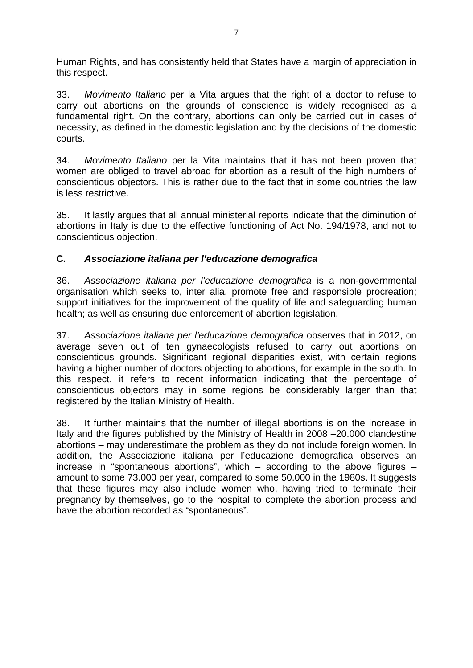Human Rights, and has consistently held that States have a margin of appreciation in this respect.

33. *Movimento Italiano* per la Vita argues that the right of a doctor to refuse to carry out abortions on the grounds of conscience is widely recognised as a fundamental right. On the contrary, abortions can only be carried out in cases of necessity, as defined in the domestic legislation and by the decisions of the domestic courts.

34. *Movimento Italiano* per la Vita maintains that it has not been proven that women are obliged to travel abroad for abortion as a result of the high numbers of conscientious objectors. This is rather due to the fact that in some countries the law is less restrictive.

35. It lastly argues that all annual ministerial reports indicate that the diminution of abortions in Italy is due to the effective functioning of Act No. 194/1978, and not to conscientious objection.

# **C.** *Associazione italiana per l'educazione demografica*

36. *Associazione italiana per l'educazione demografica* is a non-governmental organisation which seeks to, inter alia, promote free and responsible procreation; support initiatives for the improvement of the quality of life and safeguarding human health; as well as ensuring due enforcement of abortion legislation.

37. *Associazione italiana per l'educazione demografica* observes that in 2012, on average seven out of ten gynaecologists refused to carry out abortions on conscientious grounds. Significant regional disparities exist, with certain regions having a higher number of doctors objecting to abortions, for example in the south. In this respect, it refers to recent information indicating that the percentage of conscientious objectors may in some regions be considerably larger than that registered by the Italian Ministry of Health.

38. It further maintains that the number of illegal abortions is on the increase in Italy and the figures published by the Ministry of Health in 2008 –20.000 clandestine abortions – may underestimate the problem as they do not include foreign women. In addition, the Associazione italiana per l'educazione demografica observes an increase in "spontaneous abortions", which – according to the above figures – amount to some 73.000 per year, compared to some 50.000 in the 1980s. It suggests that these figures may also include women who, having tried to terminate their pregnancy by themselves, go to the hospital to complete the abortion process and have the abortion recorded as "spontaneous".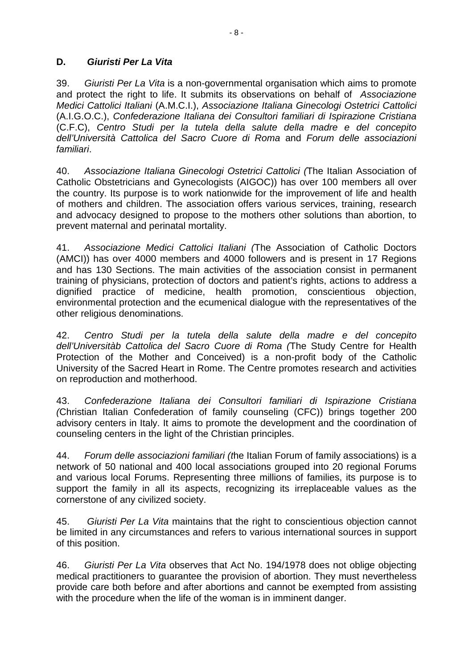# **D.** *Giuristi Per La Vita*

39. *Giuristi Per La Vita* is a non-governmental organisation which aims to promote and protect the right to life. It submits its observations on behalf of *Associazione Medici Cattolici Italiani* (A.M.C.I.), *Associazione Italiana Ginecologi Ostetrici Cattolici*  (A.I.G.O.C.), *Confederazione Italiana dei Consultori familiari di Ispirazione Cristiana*  (C.F.C), *Centro Studi per la tutela della salute della madre e del concepito dell'Università Cattolica del Sacro Cuore di Roma* and *Forum delle associazioni familiari*.

40. *Associazione Italiana Ginecologi Ostetrici Cattolici (*The Italian Association of Catholic Obstetricians and Gynecologists (AIGOC)) has over 100 members all over the country. Its purpose is to work nationwide for the improvement of life and health of mothers and children. The association offers various services, training, research and advocacy designed to propose to the mothers other solutions than abortion, to prevent maternal and perinatal mortality.

41. *Associazione Medici Cattolici Italiani (*The Association of Catholic Doctors (AMCI)) has over 4000 members and 4000 followers and is present in 17 Regions and has 130 Sections. The main activities of the association consist in permanent training of physicians, protection of doctors and patient's rights, actions to address a dignified practice of medicine, health promotion, conscientious objection, environmental protection and the ecumenical dialogue with the representatives of the other religious denominations.

42. *Centro Studi per la tutela della salute della madre e del concepito dell'Universitàb Cattolica del Sacro Cuore di Roma (*The Study Centre for Health Protection of the Mother and Conceived) is a non-profit body of the Catholic University of the Sacred Heart in Rome. The Centre promotes research and activities on reproduction and motherhood.

43. *Confederazione Italiana dei Consultori familiari di Ispirazione Cristiana (*Christian Italian Confederation of family counseling (CFC)) brings together 200 advisory centers in Italy. It aims to promote the development and the coordination of counseling centers in the light of the Christian principles.

44. *Forum delle associazioni familiari (t*he Italian Forum of family associations) is a network of 50 national and 400 local associations grouped into 20 regional Forums and various local Forums. Representing three millions of families, its purpose is to support the family in all its aspects, recognizing its irreplaceable values as the cornerstone of any civilized society.

45. *Giuristi Per La Vita* maintains that the right to conscientious objection cannot be limited in any circumstances and refers to various international sources in support of this position.

46. *Giuristi Per La Vita* observes that Act No. 194/1978 does not oblige objecting medical practitioners to guarantee the provision of abortion. They must nevertheless provide care both before and after abortions and cannot be exempted from assisting with the procedure when the life of the woman is in imminent danger.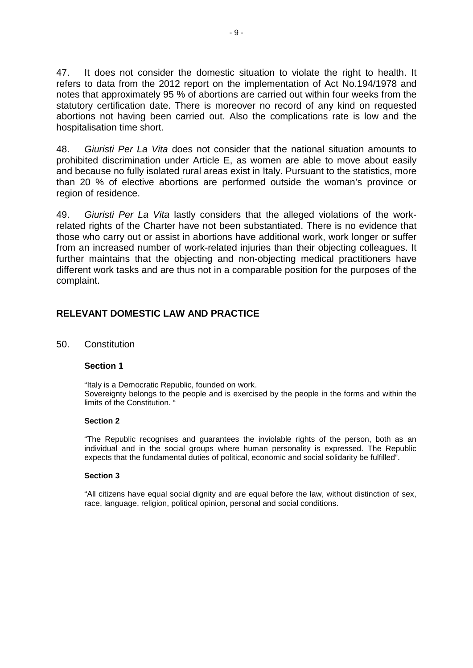47. It does not consider the domestic situation to violate the right to health. It refers to data from the 2012 report on the implementation of Act No.194/1978 and notes that approximately 95 % of abortions are carried out within four weeks from the statutory certification date. There is moreover no record of any kind on requested abortions not having been carried out. Also the complications rate is low and the hospitalisation time short.

48. *Giuristi Per La Vita* does not consider that the national situation amounts to prohibited discrimination under Article E, as women are able to move about easily and because no fully isolated rural areas exist in Italy. Pursuant to the statistics, more than 20 % of elective abortions are performed outside the woman's province or region of residence.

49. *Giuristi Per La Vita* lastly considers that the alleged violations of the workrelated rights of the Charter have not been substantiated. There is no evidence that those who carry out or assist in abortions have additional work, work longer or suffer from an increased number of work-related injuries than their objecting colleagues. It further maintains that the objecting and non-objecting medical practitioners have different work tasks and are thus not in a comparable position for the purposes of the complaint.

## **RELEVANT DOMESTIC LAW AND PRACTICE**

#### 50. Constitution

#### **Section 1**

"Italy is a Democratic Republic, founded on work. Sovereignty belongs to the people and is exercised by the people in the forms and within the limits of the Constitution. "

#### **Section 2**

"The Republic recognises and guarantees the inviolable rights of the person, both as an individual and in the social groups where human personality is expressed. The Republic expects that the fundamental duties of political, economic and social solidarity be fulfilled".

#### **Section 3**

"All citizens have equal social dignity and are equal before the law, without distinction of sex, race, language, religion, political opinion, personal and social conditions.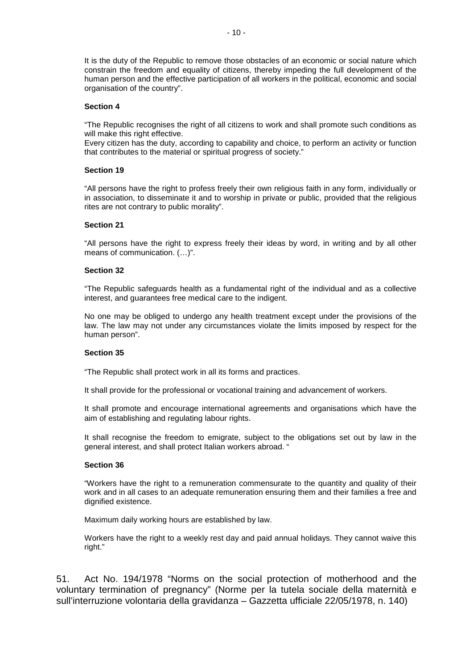It is the duty of the Republic to remove those obstacles of an economic or social nature which constrain the freedom and equality of citizens, thereby impeding the full development of the human person and the effective participation of all workers in the political, economic and social organisation of the country".

#### **Section 4**

"The Republic recognises the right of all citizens to work and shall promote such conditions as will make this right effective.

Every citizen has the duty, according to capability and choice, to perform an activity or function that contributes to the material or spiritual progress of society."

#### **Section 19**

"All persons have the right to profess freely their own religious faith in any form, individually or in association, to disseminate it and to worship in private or public, provided that the religious rites are not contrary to public morality".

#### **Section 21**

"All persons have the right to express freely their ideas by word, in writing and by all other means of communication. (…)".

#### **Section 32**

"The Republic safeguards health as a fundamental right of the individual and as a collective interest, and guarantees free medical care to the indigent.

No one may be obliged to undergo any health treatment except under the provisions of the law. The law may not under any circumstances violate the limits imposed by respect for the human person".

#### **Section 35**

"The Republic shall protect work in all its forms and practices.

It shall provide for the professional or vocational training and advancement of workers.

It shall promote and encourage international agreements and organisations which have the aim of establishing and regulating labour rights.

It shall recognise the freedom to emigrate, subject to the obligations set out by law in the general interest, and shall protect Italian workers abroad. "

#### **Section 36**

"Workers have the right to a remuneration commensurate to the quantity and quality of their work and in all cases to an adequate remuneration ensuring them and their families a free and dignified existence.

Maximum daily working hours are established by law.

Workers have the right to a weekly rest day and paid annual holidays. They cannot waive this right."

51. Act No. 194/1978 "Norms on the social protection of motherhood and the voluntary termination of pregnancy" (Norme per la tutela sociale della maternità e sull'interruzione volontaria della gravidanza – Gazzetta ufficiale 22/05/1978, n. 140)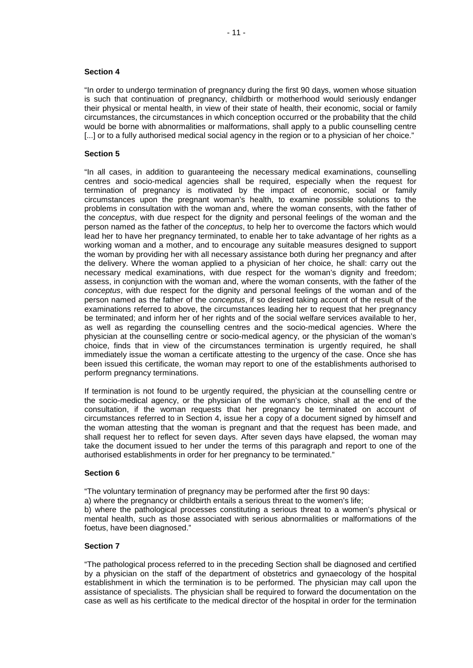#### **Section 4**

"In order to undergo termination of pregnancy during the first 90 days, women whose situation is such that continuation of pregnancy, childbirth or motherhood would seriously endanger their physical or mental health, in view of their state of health, their economic, social or family circumstances, the circumstances in which conception occurred or the probability that the child would be borne with abnormalities or malformations, shall apply to a public counselling centre [...] or to a fully authorised medical social agency in the region or to a physician of her choice."

#### **Section 5**

"In all cases, in addition to guaranteeing the necessary medical examinations, counselling centres and socio-medical agencies shall be required, especially when the request for termination of pregnancy is motivated by the impact of economic, social or family circumstances upon the pregnant woman's health, to examine possible solutions to the problems in consultation with the woman and, where the woman consents, with the father of the *conceptus*, with due respect for the dignity and personal feelings of the woman and the person named as the father of the *conceptus*, to help her to overcome the factors which would lead her to have her pregnancy terminated, to enable her to take advantage of her rights as a working woman and a mother, and to encourage any suitable measures designed to support the woman by providing her with all necessary assistance both during her pregnancy and after the delivery. Where the woman applied to a physician of her choice, he shall: carry out the necessary medical examinations, with due respect for the woman's dignity and freedom; assess, in conjunction with the woman and, where the woman consents, with the father of the *conceptus*, with due respect for the dignity and personal feelings of the woman and of the person named as the father of the *conceptus*, if so desired taking account of the result of the examinations referred to above, the circumstances leading her to request that her pregnancy be terminated; and inform her of her rights and of the social welfare services available to her, as well as regarding the counselling centres and the socio-medical agencies. Where the physician at the counselling centre or socio-medical agency, or the physician of the woman's choice, finds that in view of the circumstances termination is urgently required, he shall immediately issue the woman a certificate attesting to the urgency of the case. Once she has been issued this certificate, the woman may report to one of the establishments authorised to perform pregnancy terminations.

If termination is not found to be urgently required, the physician at the counselling centre or the socio-medical agency, or the physician of the woman's choice, shall at the end of the consultation, if the woman requests that her pregnancy be terminated on account of circumstances referred to in Section 4, issue her a copy of a document signed by himself and the woman attesting that the woman is pregnant and that the request has been made, and shall request her to reflect for seven days. After seven days have elapsed, the woman may take the document issued to her under the terms of this paragraph and report to one of the authorised establishments in order for her pregnancy to be terminated."

#### **Section 6**

"The voluntary termination of pregnancy may be performed after the first 90 days:

a) where the pregnancy or childbirth entails a serious threat to the women's life;

b) where the pathological processes constituting a serious threat to a women's physical or mental health, such as those associated with serious abnormalities or malformations of the foetus, have been diagnosed."

#### **Section 7**

"The pathological process referred to in the preceding Section shall be diagnosed and certified by a physician on the staff of the department of obstetrics and gynaecology of the hospital establishment in which the termination is to be performed. The physician may call upon the assistance of specialists. The physician shall be required to forward the documentation on the case as well as his certificate to the medical director of the hospital in order for the termination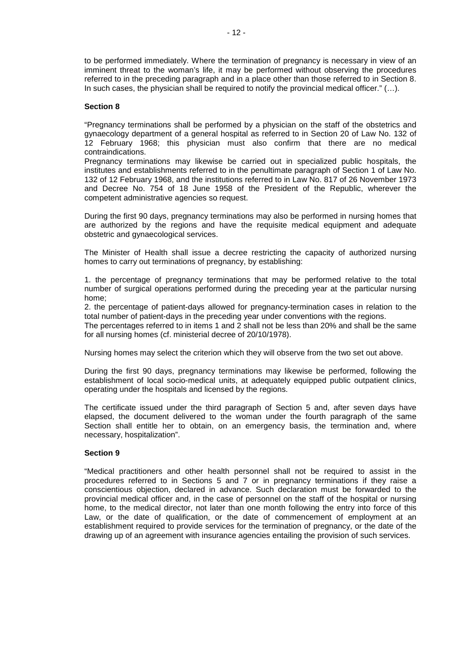to be performed immediately. Where the termination of pregnancy is necessary in view of an imminent threat to the woman's life, it may be performed without observing the procedures referred to in the preceding paragraph and in a place other than those referred to in Section 8. In such cases, the physician shall be required to notify the provincial medical officer." (...).

#### **Section 8**

"Pregnancy terminations shall be performed by a physician on the staff of the obstetrics and gynaecology department of a general hospital as referred to in Section 20 of Law No. 132 of 12 February 1968; this physician must also confirm that there are no medical contraindications.

Pregnancy terminations may likewise be carried out in specialized public hospitals, the institutes and establishments referred to in the penultimate paragraph of Section 1 of Law No. 132 of 12 February 1968, and the institutions referred to in Law No. 817 of 26 November 1973 and Decree No. 754 of 18 June 1958 of the President of the Republic, wherever the competent administrative agencies so request.

During the first 90 days, pregnancy terminations may also be performed in nursing homes that are authorized by the regions and have the requisite medical equipment and adequate obstetric and gynaecological services.

The Minister of Health shall issue a decree restricting the capacity of authorized nursing homes to carry out terminations of pregnancy, by establishing:

1. the percentage of pregnancy terminations that may be performed relative to the total number of surgical operations performed during the preceding year at the particular nursing home;

2. the percentage of patient-days allowed for pregnancy-termination cases in relation to the total number of patient-days in the preceding year under conventions with the regions.

The percentages referred to in items 1 and 2 shall not be less than 20% and shall be the same for all nursing homes (cf. ministerial decree of 20/10/1978).

Nursing homes may select the criterion which they will observe from the two set out above.

During the first 90 days, pregnancy terminations may likewise be performed, following the establishment of local socio-medical units, at adequately equipped public outpatient clinics, operating under the hospitals and licensed by the regions.

The certificate issued under the third paragraph of Section 5 and, after seven days have elapsed, the document delivered to the woman under the fourth paragraph of the same Section shall entitle her to obtain, on an emergency basis, the termination and, where necessary, hospitalization".

#### **Section 9**

"Medical practitioners and other health personnel shall not be required to assist in the procedures referred to in Sections 5 and 7 or in pregnancy terminations if they raise a conscientious objection, declared in advance. Such declaration must be forwarded to the provincial medical officer and, in the case of personnel on the staff of the hospital or nursing home, to the medical director, not later than one month following the entry into force of this Law, or the date of qualification, or the date of commencement of employment at an establishment required to provide services for the termination of pregnancy, or the date of the drawing up of an agreement with insurance agencies entailing the provision of such services.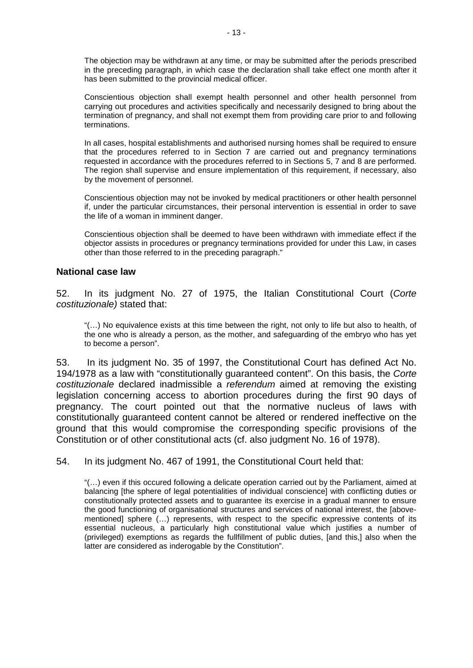The objection may be withdrawn at any time, or may be submitted after the periods prescribed in the preceding paragraph, in which case the declaration shall take effect one month after it has been submitted to the provincial medical officer.

Conscientious objection shall exempt health personnel and other health personnel from carrying out procedures and activities specifically and necessarily designed to bring about the termination of pregnancy, and shall not exempt them from providing care prior to and following terminations.

In all cases, hospital establishments and authorised nursing homes shall be required to ensure that the procedures referred to in Section 7 are carried out and pregnancy terminations requested in accordance with the procedures referred to in Sections 5, 7 and 8 are performed. The region shall supervise and ensure implementation of this requirement, if necessary, also by the movement of personnel.

Conscientious objection may not be invoked by medical practitioners or other health personnel if, under the particular circumstances, their personal intervention is essential in order to save the life of a woman in imminent danger.

Conscientious objection shall be deemed to have been withdrawn with immediate effect if the objector assists in procedures or pregnancy terminations provided for under this Law, in cases other than those referred to in the preceding paragraph."

#### **National case law**

52. In its judgment No. 27 of 1975, the Italian Constitutional Court (*Corte costituzionale)* stated that:

"(…) No equivalence exists at this time between the right, not only to life but also to health, of the one who is already a person, as the mother, and safeguarding of the embryo who has yet to become a person".

53. In its judgment No. 35 of 1997, the Constitutional Court has defined Act No. 194/1978 as a law with "constitutionally guaranteed content". On this basis, the *Corte costituzionale* declared inadmissible a *referendum* aimed at removing the existing legislation concerning access to abortion procedures during the first 90 days of pregnancy. The court pointed out that the normative nucleus of laws with constitutionally guaranteed content cannot be altered or rendered ineffective on the ground that this would compromise the corresponding specific provisions of the Constitution or of other constitutional acts (cf. also judgment No. 16 of 1978).

54. In its judgment No. 467 of 1991, the Constitutional Court held that:

"(…) even if this occured following a delicate operation carried out by the Parliament, aimed at balancing [the sphere of legal potentialities of individual conscience] with conflicting duties or constitutionally protected assets and to guarantee its exercise in a gradual manner to ensure the good functioning of organisational structures and services of national interest, the [abovementioned] sphere (…) represents, with respect to the specific expressive contents of its essential nucleous, a particularly high constitutional value which justifies a number of (privileged) exemptions as regards the fullfillment of public duties, [and this,] also when the latter are considered as inderogable by the Constitution".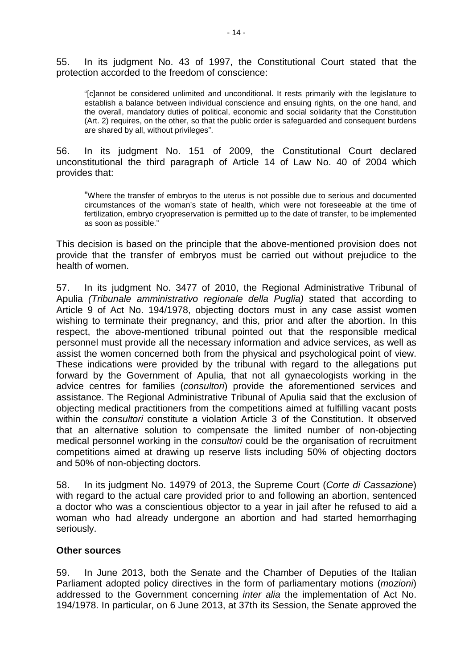55. In its judgment No. 43 of 1997, the Constitutional Court stated that the protection accorded to the freedom of conscience:

"[c]annot be considered unlimited and unconditional. It rests primarily with the legislature to establish a balance between individual conscience and ensuing rights, on the one hand, and the overall, mandatory duties of political, economic and social solidarity that the Constitution (Art. 2) requires, on the other, so that the public order is safeguarded and consequent burdens are shared by all, without privileges".

56. In its judgment No. 151 of 2009, the Constitutional Court declared unconstitutional the third paragraph of Article 14 of Law No. 40 of 2004 which provides that:

"Where the transfer of embryos to the uterus is not possible due to serious and documented circumstances of the woman's state of health, which were not foreseeable at the time of fertilization, embryo cryopreservation is permitted up to the date of transfer, to be implemented as soon as possible."

This decision is based on the principle that the above-mentioned provision does not provide that the transfer of embryos must be carried out without prejudice to the health of women.

57. In its judgment No. 3477 of 2010, the Regional Administrative Tribunal of Apulia *(Tribunale amministrativo regionale della Puglia)* stated that according to Article 9 of Act No. 194/1978, objecting doctors must in any case assist women wishing to terminate their pregnancy, and this, prior and after the abortion. In this respect, the above-mentioned tribunal pointed out that the responsible medical personnel must provide all the necessary information and advice services, as well as assist the women concerned both from the physical and psychological point of view. These indications were provided by the tribunal with regard to the allegations put forward by the Government of Apulia, that not all gynaecologists working in the advice centres for families (*consultori*) provide the aforementioned services and assistance. The Regional Administrative Tribunal of Apulia said that the exclusion of objecting medical practitioners from the competitions aimed at fulfilling vacant posts within the *consultori* constitute a violation Article 3 of the Constitution. It observed that an alternative solution to compensate the limited number of non-objecting medical personnel working in the *consultori* could be the organisation of recruitment competitions aimed at drawing up reserve lists including 50% of objecting doctors and 50% of non-objecting doctors.

58. In its judgment No. 14979 of 2013, the Supreme Court (*Corte di Cassazione*) with regard to the actual care provided prior to and following an abortion, sentenced a doctor who was a conscientious objector to a year in jail after he refused to aid a woman who had already undergone an abortion and had started hemorrhaging seriously.

### **Other sources**

59. In June 2013, both the Senate and the Chamber of Deputies of the Italian Parliament adopted policy directives in the form of parliamentary motions (*mozioni*) addressed to the Government concerning *inter alia* the implementation of Act No. 194/1978. In particular, on 6 June 2013, at 37th its Session, the Senate approved the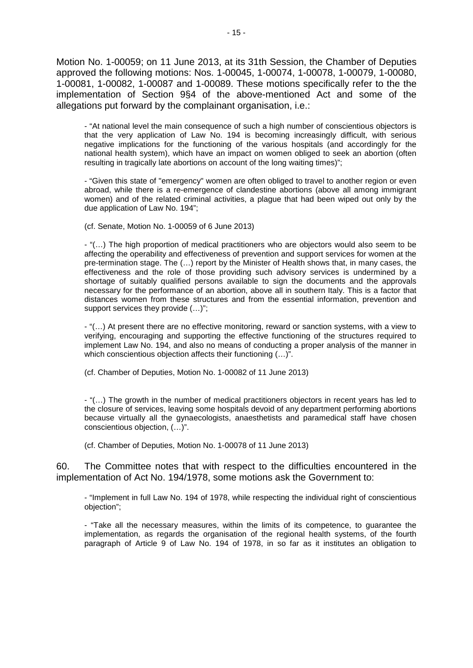Motion No. 1-00059; on 11 June 2013, at its 31th Session, the Chamber of Deputies approved the following motions: Nos. 1-00045, 1-00074, 1-00078, 1-00079, 1-00080, 1-00081, 1-00082, 1-00087 and 1-00089. These motions specifically refer to the the implementation of Section 9§4 of the above-mentioned Act and some of the allegations put forward by the complainant organisation, i.e.:

- "At national level the main consequence of such a high number of conscientious objectors is that the very application of Law No. 194 is becoming increasingly difficult, with serious negative implications for the functioning of the various hospitals (and accordingly for the national health system), which have an impact on women obliged to seek an abortion (often resulting in tragically late abortions on account of the long waiting times)";

- "Given this state of "emergency" women are often obliged to travel to another region or even abroad, while there is a re-emergence of clandestine abortions (above all among immigrant women) and of the related criminal activities, a plague that had been wiped out only by the due application of Law No. 194";

(cf. Senate, Motion No. 1-00059 of 6 June 2013)

- "(…) The high proportion of medical practitioners who are objectors would also seem to be affecting the operability and effectiveness of prevention and support services for women at the pre-termination stage. The (…) report by the Minister of Health shows that, in many cases, the effectiveness and the role of those providing such advisory services is undermined by a shortage of suitably qualified persons available to sign the documents and the approvals necessary for the performance of an abortion, above all in southern Italy. This is a factor that distances women from these structures and from the essential information, prevention and support services they provide (…)";

- "(…) At present there are no effective monitoring, reward or sanction systems, with a view to verifying, encouraging and supporting the effective functioning of the structures required to implement Law No. 194, and also no means of conducting a proper analysis of the manner in which conscientious objection affects their functioning  $(...)$ ".

(cf. Chamber of Deputies, Motion No. 1-00082 of 11 June 2013)

- "(…) The growth in the number of medical practitioners objectors in recent years has led to the closure of services, leaving some hospitals devoid of any department performing abortions because virtually all the gynaecologists, anaesthetists and paramedical staff have chosen conscientious objection, (…)".

(cf. Chamber of Deputies, Motion No. 1-00078 of 11 June 2013)

60. The Committee notes that with respect to the difficulties encountered in the implementation of Act No. 194/1978, some motions ask the Government to:

- "Implement in full Law No. 194 of 1978, while respecting the individual right of conscientious objection";

- "Take all the necessary measures, within the limits of its competence, to guarantee the implementation, as regards the organisation of the regional health systems, of the fourth paragraph of Article 9 of Law No. 194 of 1978, in so far as it institutes an obligation to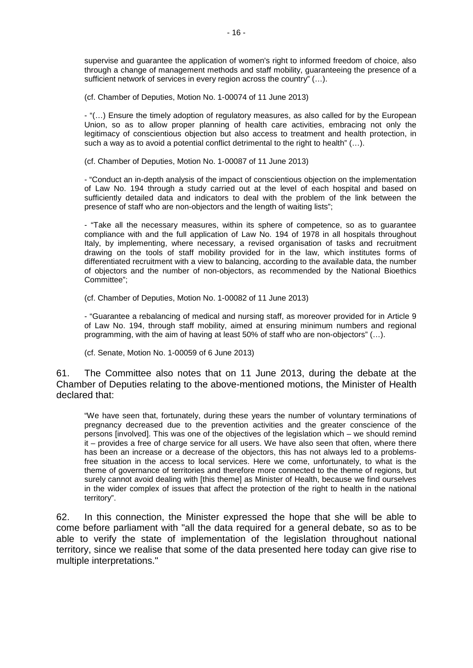supervise and guarantee the application of women's right to informed freedom of choice, also through a change of management methods and staff mobility, guaranteeing the presence of a sufficient network of services in every region across the country" (…).

(cf. Chamber of Deputies, Motion No. 1-00074 of 11 June 2013)

- "(…) Ensure the timely adoption of regulatory measures, as also called for by the European Union, so as to allow proper planning of health care activities, embracing not only the legitimacy of conscientious objection but also access to treatment and health protection, in such a way as to avoid a potential conflict detrimental to the right to health" (…).

(cf. Chamber of Deputies, Motion No. 1-00087 of 11 June 2013)

- "Conduct an in-depth analysis of the impact of conscientious objection on the implementation of Law No. 194 through a study carried out at the level of each hospital and based on sufficiently detailed data and indicators to deal with the problem of the link between the presence of staff who are non-objectors and the length of waiting lists";

- "Take all the necessary measures, within its sphere of competence, so as to guarantee compliance with and the full application of Law No. 194 of 1978 in all hospitals throughout Italy, by implementing, where necessary, a revised organisation of tasks and recruitment drawing on the tools of staff mobility provided for in the law, which institutes forms of differentiated recruitment with a view to balancing, according to the available data, the number of objectors and the number of non-objectors, as recommended by the National Bioethics Committee";

(cf. Chamber of Deputies, Motion No. 1-00082 of 11 June 2013)

- "Guarantee a rebalancing of medical and nursing staff, as moreover provided for in Article 9 of Law No. 194, through staff mobility, aimed at ensuring minimum numbers and regional programming, with the aim of having at least 50% of staff who are non-objectors" (…).

(cf. Senate, Motion No. 1-00059 of 6 June 2013)

61. The Committee also notes that on 11 June 2013, during the debate at the Chamber of Deputies relating to the above-mentioned motions, the Minister of Health declared that:

"We have seen that, fortunately, during these years the number of voluntary terminations of pregnancy decreased due to the prevention activities and the greater conscience of the persons [involved]. This was one of the objectives of the legislation which – we should remind it – provides a free of charge service for all users. We have also seen that often, where there has been an increase or a decrease of the objectors, this has not always led to a problemsfree situation in the access to local services. Here we come, unfortunately, to what is the theme of governance of territories and therefore more connected to the theme of regions, but surely cannot avoid dealing with [this theme] as Minister of Health, because we find ourselves in the wider complex of issues that affect the protection of the right to health in the national territory".

62. In this connection, the Minister expressed the hope that she will be able to come before parliament with "all the data required for a general debate, so as to be able to verify the state of implementation of the legislation throughout national territory, since we realise that some of the data presented here today can give rise to multiple interpretations."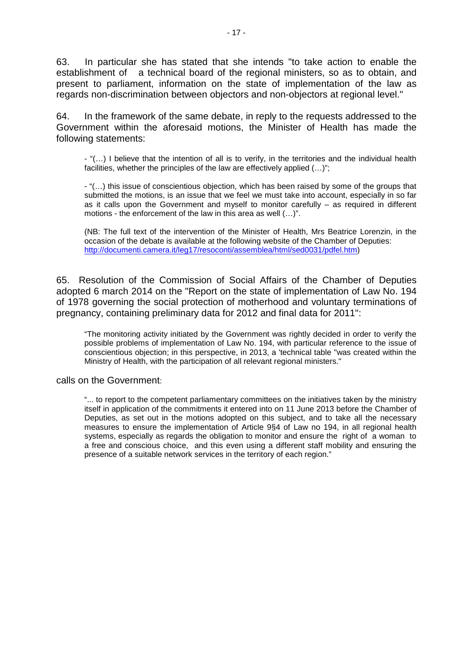63. In particular she has stated that she intends "to take action to enable the establishment of a technical board of the regional ministers, so as to obtain, and present to parliament, information on the state of implementation of the law as regards non-discrimination between objectors and non-objectors at regional level."

64. In the framework of the same debate, in reply to the requests addressed to the Government within the aforesaid motions, the Minister of Health has made the following statements:

- "(…) I believe that the intention of all is to verify, in the territories and the individual health facilities, whether the principles of the law are effectively applied (…)";

- "(…) this issue of conscientious objection, which has been raised by some of the groups that submitted the motions, is an issue that we feel we must take into account, especially in so far as it calls upon the Government and myself to monitor carefully – as required in different motions - the enforcement of the law in this area as well (…)".

(NB: The full text of the intervention of the Minister of Health, Mrs Beatrice Lorenzin, in the occasion of the debate is available at the following website of the Chamber of Deputies: [http://documenti.camera.it/leg17/resoconti/assemblea/html/sed0031/pdfel.htm\)](http://documenti.camera.it/leg17/resoconti/assemblea/html/sed0031/pdfel.htm)

65. Resolution of the Commission of Social Affairs of the Chamber of Deputies adopted 6 march 2014 on the "Report on the state of implementation of Law No. 194 of 1978 governing the social protection of motherhood and voluntary terminations of pregnancy, containing preliminary data for 2012 and final data for 2011":

"The monitoring activity initiated by the Government was rightly decided in order to verify the possible problems of implementation of Law No. 194, with particular reference to the issue of conscientious objection; in this perspective, in 2013, a 'technical table "was created within the Ministry of Health, with the participation of all relevant regional ministers."

calls on the Government:

"... to report to the competent parliamentary committees on the initiatives taken by the ministry itself in application of the commitments it entered into on 11 June 2013 before the Chamber of Deputies, as set out in the motions adopted on this subject, and to take all the necessary measures to ensure the implementation of Article 9§4 of Law no 194, in all regional health systems, especially as regards the obligation to monitor and ensure the right of a woman to a free and conscious choice, and this even using a different staff mobility and ensuring the presence of a suitable network services in the territory of each region."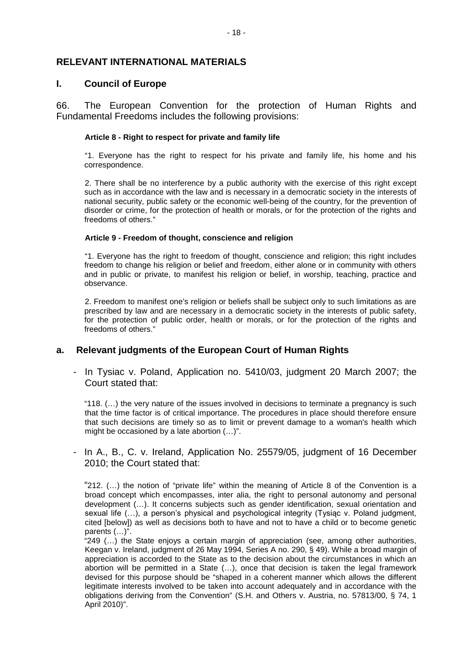### **RELEVANT INTERNATIONAL MATERIALS**

#### **I. Council of Europe**

66. The European Convention for the protection of Human Rights and Fundamental Freedoms includes the following provisions:

#### **Article 8 - Right to respect for private and family life**

"1. Everyone has the right to respect for his private and family life, his home and his correspondence.

2. There shall be no interference by a public authority with the exercise of this right except such as in accordance with the law and is necessary in a democratic society in the interests of national security, public safety or the economic well-being of the country, for the prevention of disorder or crime, for the protection of health or morals, or for the protection of the rights and freedoms of others."

#### **Article 9 - Freedom of thought, conscience and religion**

"1. Everyone has the right to freedom of thought, conscience and religion; this right includes freedom to change his religion or belief and freedom, either alone or in community with others and in public or private, to manifest his religion or belief, in worship, teaching, practice and observance.

2. Freedom to manifest one's religion or beliefs shall be subject only to such limitations as are prescribed by law and are necessary in a democratic society in the interests of public safety, for the protection of public order, health or morals, or for the protection of the rights and freedoms of others."

## **a. Relevant judgments of the European Court of Human Rights**

- In Tysiac v. Poland, Application no. 5410/03, judgment 20 March 2007; the Court stated that:

"118. (…) the very nature of the issues involved in decisions to terminate a pregnancy is such that the time factor is of critical importance. The procedures in place should therefore ensure that such decisions are timely so as to limit or prevent damage to a woman's health which might be occasioned by a late abortion (…)".

- In A., B., C. v. Ireland, Application No. 25579/05, judgment of 16 December 2010; the Court stated that:

"212. (…) the notion of "private life" within the meaning of Article 8 of the Convention is a broad concept which encompasses, inter alia, the right to personal autonomy and personal development (…). It concerns subjects such as gender identification, sexual orientation and sexual life (...), a person's physical and psychological integrity (Tysiąc v. Poland judgment, cited [below]) as well as decisions both to have and not to have a child or to become genetic parents (…)".

"249 (…) the State enjoys a certain margin of appreciation (see, among other authorities, Keegan v. Ireland, judgment of 26 May 1994, Series A no. 290, § 49). While a broad margin of appreciation is accorded to the State as to the decision about the circumstances in which an abortion will be permitted in a State (…), once that decision is taken the legal framework devised for this purpose should be "shaped in a coherent manner which allows the different legitimate interests involved to be taken into account adequately and in accordance with the obligations deriving from the Convention" (S.H. and Others v. Austria, no. 57813/00, § 74, 1 April 2010)".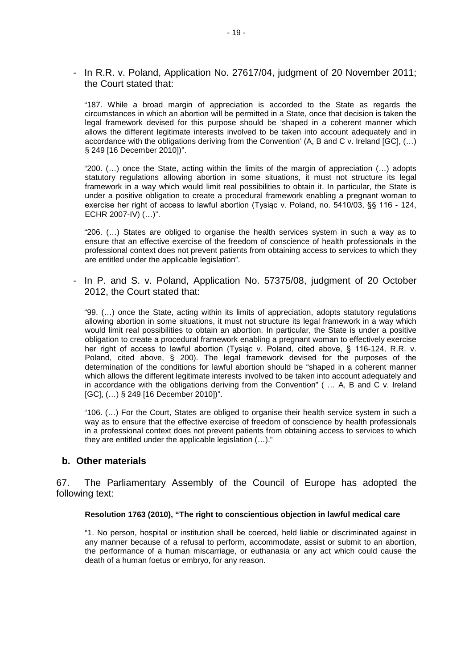- In R.R. v. Poland, Application No. 27617/04, judgment of 20 November 2011; the Court stated that:

"187. While a broad margin of appreciation is accorded to the State as regards the circumstances in which an abortion will be permitted in a State, once that decision is taken the legal framework devised for this purpose should be 'shaped in a coherent manner which allows the different legitimate interests involved to be taken into account adequately and in accordance with the obligations deriving from the Convention' (A, B and C v. Ireland [GC], (…) § 249 [16 December 2010])".

"200. (…) once the State, acting within the limits of the margin of appreciation (…) adopts statutory regulations allowing abortion in some situations, it must not structure its legal framework in a way which would limit real possibilities to obtain it. In particular, the State is under a positive obligation to create a procedural framework enabling a pregnant woman to exercise her right of access to lawful abortion (Tysiąc v. Poland, no. 5410/03, §§ 116 - 124, ECHR 2007-IV) (…)".

"206. (…) States are obliged to organise the health services system in such a way as to ensure that an effective exercise of the freedom of conscience of health professionals in the professional context does not prevent patients from obtaining access to services to which they are entitled under the applicable legislation".

- In P. and S. v. Poland, Application No. 57375/08, judgment of 20 October 2012, the Court stated that:

"99. (…) once the State, acting within its limits of appreciation, adopts statutory regulations allowing abortion in some situations, it must not structure its legal framework in a way which would limit real possibilities to obtain an abortion. In particular, the State is under a positive obligation to create a procedural framework enabling a pregnant woman to effectively exercise her right of access to lawful abortion (Tysiąc v. Poland, cited above, § 116-124, R.R. v. Poland, cited above, § 200). The legal framework devised for the purposes of the determination of the conditions for lawful abortion should be "shaped in a coherent manner which allows the different legitimate interests involved to be taken into account adequately and in accordance with the obligations deriving from the Convention" ( … A, B and C v. Ireland [GC], (…) § 249 [16 December 2010])".

"106. (…) For the Court, States are obliged to organise their health service system in such a way as to ensure that the effective exercise of freedom of conscience by health professionals in a professional context does not prevent patients from obtaining access to services to which they are entitled under the applicable legislation (…)."

#### **b. Other materials**

67. The Parliamentary Assembly of the Council of Europe has adopted the following text:

#### **Resolution 1763 (2010), "The right to conscientious objection in lawful medical care**

"1. No person, hospital or institution shall be coerced, held liable or discriminated against in any manner because of a refusal to perform, accommodate, assist or submit to an abortion, the performance of a human miscarriage, or euthanasia or any act which could cause the death of a human foetus or embryo, for any reason.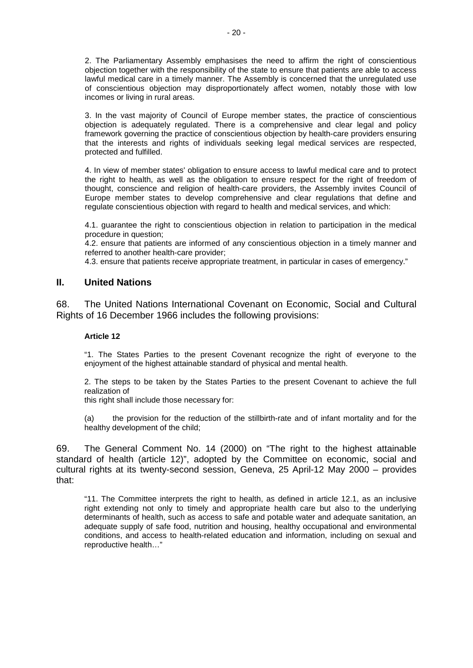2. The Parliamentary Assembly emphasises the need to affirm the right of conscientious objection together with the responsibility of the state to ensure that patients are able to access lawful medical care in a timely manner. The Assembly is concerned that the unregulated use of conscientious objection may disproportionately affect women, notably those with low incomes or living in rural areas.

3. In the vast majority of Council of Europe member states, the practice of conscientious objection is adequately regulated. There is a comprehensive and clear legal and policy framework governing the practice of conscientious objection by health-care providers ensuring that the interests and rights of individuals seeking legal medical services are respected, protected and fulfilled.

4. In view of member states' obligation to ensure access to lawful medical care and to protect the right to health, as well as the obligation to ensure respect for the right of freedom of thought, conscience and religion of health-care providers, the Assembly invites Council of Europe member states to develop comprehensive and clear regulations that define and regulate conscientious objection with regard to health and medical services, and which:

4.1. guarantee the right to conscientious objection in relation to participation in the medical procedure in question;

4.2. ensure that patients are informed of any conscientious objection in a timely manner and referred to another health-care provider;

4.3. ensure that patients receive appropriate treatment, in particular in cases of emergency."

### **II. United Nations**

68. The United Nations International Covenant on Economic, Social and Cultural Rights of 16 December 1966 includes the following provisions:

#### **Article 12**

"1. The States Parties to the present Covenant recognize the right of everyone to the enjoyment of the highest attainable standard of physical and mental health.

2. The steps to be taken by the States Parties to the present Covenant to achieve the full realization of

this right shall include those necessary for:

(a) the provision for the reduction of the stillbirth-rate and of infant mortality and for the healthy development of the child;

69. The General Comment No. 14 (2000) on "The right to the highest attainable standard of health (article 12)", adopted by the Committee on economic, social and cultural rights at its twenty-second session, Geneva, 25 April-12 May 2000 – provides that:

"11. The Committee interprets the right to health, as defined in article 12.1, as an inclusive right extending not only to timely and appropriate health care but also to the underlying determinants of health, such as access to safe and potable water and adequate sanitation, an adequate supply of safe food, nutrition and housing, healthy occupational and environmental conditions, and access to health-related education and information, including on sexual and reproductive health…"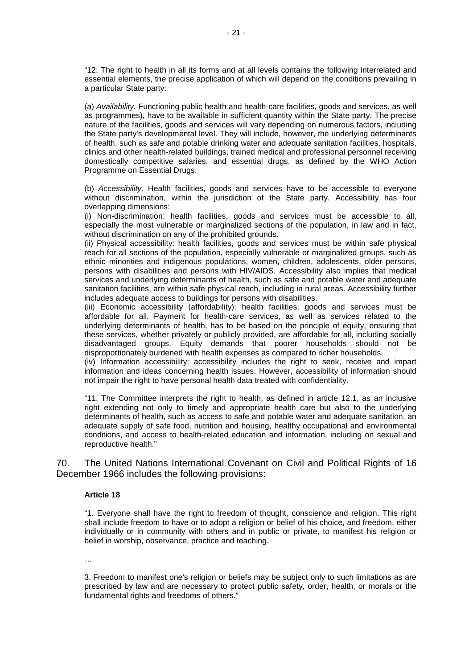"12. The right to health in all its forms and at all levels contains the following interrelated and essential elements, the precise application of which will depend on the conditions prevailing in a particular State party:

(a) *Availability.* Functioning public health and health-care facilities, goods and services, as well as programmes), have to be available in sufficient quantity within the State party. The precise nature of the facilities, goods and services will vary depending on numerous factors, including the State party's developmental level. They will include, however, the underlying determinants of health, such as safe and potable drinking water and adequate sanitation facilities, hospitals, clinics and other health-related buildings, trained medical and professional personnel receiving domestically competitive salaries, and essential drugs, as defined by the WHO Action Programme on Essential Drugs.

(b) *Accessibility.* Health facilities, goods and services have to be accessible to everyone without discrimination, within the jurisdiction of the State party. Accessibility has four overlapping dimensions:

(i) Non-discrimination: health facilities, goods and services must be accessible to all, especially the most vulnerable or marginalized sections of the population, in law and in fact, without discrimination on any of the prohibited grounds.

(ii) Physical accessibility: health facilities, goods and services must be within safe physical reach for all sections of the population, especially vulnerable or marginalized groups, such as ethnic minorities and indigenous populations, women, children, adolescents, older persons, persons with disabilities and persons with HIV/AIDS. Accessibility also implies that medical services and underlying determinants of health, such as safe and potable water and adequate sanitation facilities, are within safe physical reach, including in rural areas. Accessibility further includes adequate access to buildings for persons with disabilities.

(iii) Economic accessibility (affordability): health facilities, goods and services must be affordable for all. Payment for health-care services, as well as services related to the underlying determinants of health, has to be based on the principle of equity, ensuring that these services, whether privately or publicly provided, are affordable for all, including socially disadvantaged groups. Equity demands that poorer households should not be disproportionately burdened with health expenses as compared to richer households.

(iv) Information accessibility: accessibility includes the right to seek, receive and impart information and ideas concerning health issues. However, accessibility of information should not impair the right to have personal health data treated with confidentiality.

"11. The Committee interprets the right to health, as defined in article 12.1, as an inclusive right extending not only to timely and appropriate health care but also to the underlying determinants of health, such as access to safe and potable water and adequate sanitation, an adequate supply of safe food, nutrition and housing, healthy occupational and environmental conditions, and access to health-related education and information, including on sexual and reproductive health."

70. The United Nations International Covenant on Civil and Political Rights of 16 December 1966 includes the following provisions:

#### **Article 18**

"1. Everyone shall have the right to freedom of thought, conscience and religion. This right shall include freedom to have or to adopt a religion or belief of his choice, and freedom, either individually or in community with others and in public or private, to manifest his religion or belief in worship, observance, practice and teaching.

…

3. Freedom to manifest one's religion or beliefs may be subject only to such limitations as are prescribed by law and are necessary to protect public safety, order, health, or morals or the fundamental rights and freedoms of others."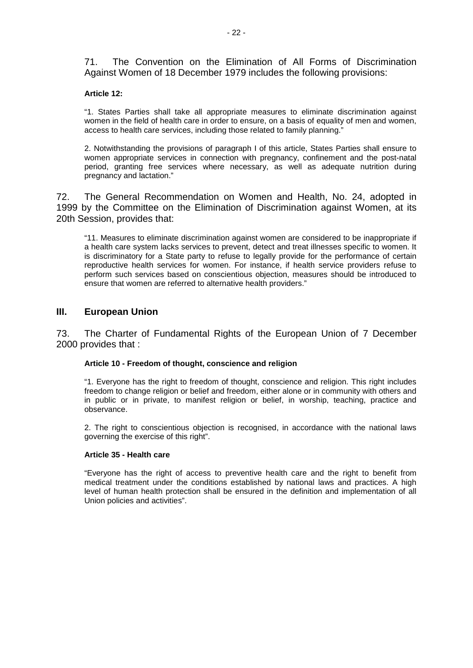71. The Convention on the Elimination of All Forms of Discrimination Against Women of 18 December 1979 includes the following provisions:

#### **Article 12:**

"1. States Parties shall take all appropriate measures to eliminate discrimination against women in the field of health care in order to ensure, on a basis of equality of men and women, access to health care services, including those related to family planning."

2. Notwithstanding the provisions of paragraph I of this article, States Parties shall ensure to women appropriate services in connection with pregnancy, confinement and the post-natal period, granting free services where necessary, as well as adequate nutrition during pregnancy and lactation."

72. The General Recommendation on Women and Health, No. 24, adopted in 1999 by the Committee on the Elimination of Discrimination against Women, at its 20th Session, provides that:

"11. Measures to eliminate discrimination against women are considered to be inappropriate if a health care system lacks services to prevent, detect and treat illnesses specific to women. It is discriminatory for a State party to refuse to legally provide for the performance of certain reproductive health services for women. For instance, if health service providers refuse to perform such services based on conscientious objection, measures should be introduced to ensure that women are referred to alternative health providers."

### **III. European Union**

73. The Charter of Fundamental Rights of the European Union of 7 December 2000 provides that :

#### **Article 10 - Freedom of thought, conscience and religion**

"1. Everyone has the right to freedom of thought, conscience and religion. This right includes freedom to change religion or belief and freedom, either alone or in community with others and in public or in private, to manifest religion or belief, in worship, teaching, practice and observance.

2. The right to conscientious objection is recognised, in accordance with the national laws governing the exercise of this right".

#### **Article 35 - Health care**

"Everyone has the right of access to preventive health care and the right to benefit from medical treatment under the conditions established by national laws and practices. A high level of human health protection shall be ensured in the definition and implementation of all Union policies and activities".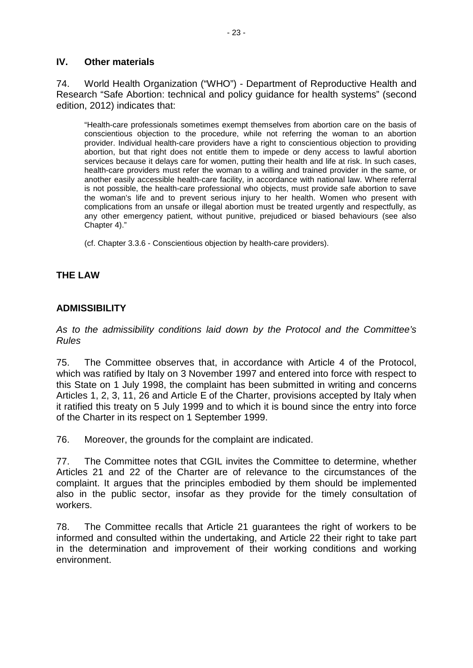## **IV. Other materials**

74. World Health Organization ("WHO") - Department of Reproductive Health and Research "Safe Abortion: technical and policy guidance for health systems" (second edition, 2012) indicates that:

"Health-care professionals sometimes exempt themselves from abortion care on the basis of conscientious objection to the procedure, while not referring the woman to an abortion provider. Individual health-care providers have a right to conscientious objection to providing abortion, but that right does not entitle them to impede or deny access to lawful abortion services because it delays care for women, putting their health and life at risk. In such cases, health-care providers must refer the woman to a willing and trained provider in the same, or another easily accessible health-care facility, in accordance with national law. Where referral is not possible, the health-care professional who objects, must provide safe abortion to save the woman's life and to prevent serious injury to her health. Women who present with complications from an unsafe or illegal abortion must be treated urgently and respectfully, as any other emergency patient, without punitive, prejudiced or biased behaviours (see also Chapter 4)."

(cf. Chapter 3.3.6 - Conscientious objection by health-care providers).

## **THE LAW**

## **ADMISSIBILITY**

*As to the admissibility conditions laid down by the Protocol and the Committee's Rules*

75. The Committee observes that, in accordance with Article 4 of the Protocol, which was ratified by Italy on 3 November 1997 and entered into force with respect to this State on 1 July 1998, the complaint has been submitted in writing and concerns Articles 1, 2, 3, 11, 26 and Article E of the Charter, provisions accepted by Italy when it ratified this treaty on 5 July 1999 and to which it is bound since the entry into force of the Charter in its respect on 1 September 1999.

76. Moreover, the grounds for the complaint are indicated.

77. The Committee notes that CGIL invites the Committee to determine, whether Articles 21 and 22 of the Charter are of relevance to the circumstances of the complaint. It argues that the principles embodied by them should be implemented also in the public sector, insofar as they provide for the timely consultation of workers.

78. The Committee recalls that Article 21 guarantees the right of workers to be informed and consulted within the undertaking, and Article 22 their right to take part in the determination and improvement of their working conditions and working environment.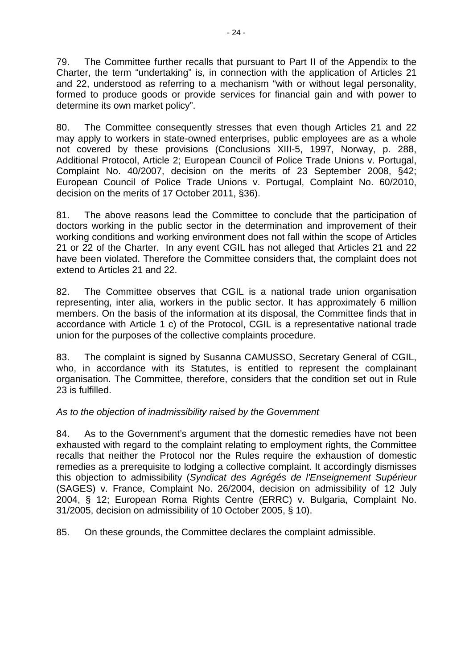79. The Committee further recalls that pursuant to Part II of the Appendix to the Charter, the term "undertaking" is, in connection with the application of Articles 21 and 22, understood as referring to a mechanism "with or without legal personality, formed to produce goods or provide services for financial gain and with power to determine its own market policy".

80. The Committee consequently stresses that even though Articles 21 and 22 may apply to workers in state-owned enterprises, public employees are as a whole not covered by these provisions (Conclusions XIII-5, 1997, Norway, p. 288, Additional Protocol, Article 2; European Council of Police Trade Unions v. Portugal, Complaint No. 40/2007, decision on the merits of 23 September 2008, §42; European Council of Police Trade Unions v. Portugal, Complaint No. 60/2010, decision on the merits of 17 October 2011, §36).

81. The above reasons lead the Committee to conclude that the participation of doctors working in the public sector in the determination and improvement of their working conditions and working environment does not fall within the scope of Articles 21 or 22 of the Charter. In any event CGIL has not alleged that Articles 21 and 22 have been violated. Therefore the Committee considers that, the complaint does not extend to Articles 21 and 22.

82. The Committee observes that CGIL is a national trade union organisation representing, inter alia, workers in the public sector. It has approximately 6 million members. On the basis of the information at its disposal, the Committee finds that in accordance with Article 1 c) of the Protocol, CGIL is a representative national trade union for the purposes of the collective complaints procedure.

83. The complaint is signed by Susanna CAMUSSO, Secretary General of CGIL, who, in accordance with its Statutes, is entitled to represent the complainant organisation. The Committee, therefore, considers that the condition set out in Rule 23 is fulfilled.

# *As to the objection of inadmissibility raised by the Government*

84. As to the Government's argument that the domestic remedies have not been exhausted with regard to the complaint relating to employment rights, the Committee recalls that neither the Protocol nor the Rules require the exhaustion of domestic remedies as a prerequisite to lodging a collective complaint. It accordingly dismisses this objection to admissibility (*Syndicat des Agrégés de l'Enseignement Supérieur* (SAGES) v. France, Complaint No. 26/2004, decision on admissibility of 12 July 2004, § 12; European Roma Rights Centre (ERRC) v. Bulgaria, Complaint No. 31/2005, decision on admissibility of 10 October 2005, § 10).

85. On these grounds, the Committee declares the complaint admissible.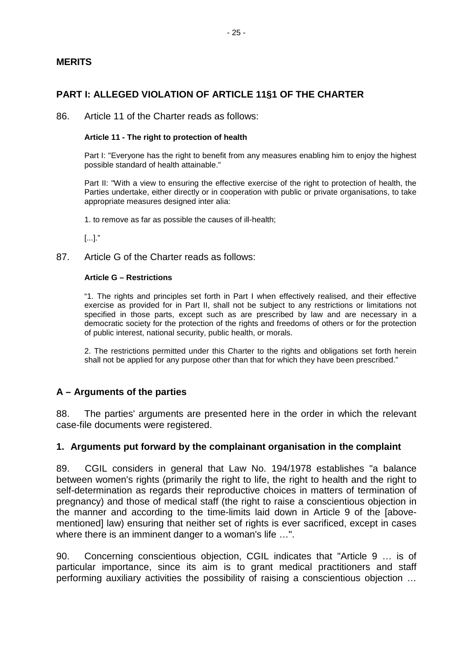## **MERITS**

## **PART I: ALLEGED VIOLATION OF ARTICLE 11§1 OF THE CHARTER**

86. Article 11 of the Charter reads as follows:

#### **Article 11 - The right to protection of health**

Part I: "Everyone has the right to benefit from any measures enabling him to enjoy the highest possible standard of health attainable."

Part II: "With a view to ensuring the effective exercise of the right to protection of health, the Parties undertake, either directly or in cooperation with public or private organisations, to take appropriate measures designed inter alia:

1. to remove as far as possible the causes of ill-health;

[...]."

87. Article G of the Charter reads as follows:

#### **Article G – Restrictions**

"1. The rights and principles set forth in Part I when effectively realised, and their effective exercise as provided for in Part II, shall not be subject to any restrictions or limitations not specified in those parts, except such as are prescribed by law and are necessary in a democratic society for the protection of the rights and freedoms of others or for the protection of public interest, national security, public health, or morals.

2. The restrictions permitted under this Charter to the rights and obligations set forth herein shall not be applied for any purpose other than that for which they have been prescribed."

#### **A – Arguments of the parties**

88. The parties' arguments are presented here in the order in which the relevant case-file documents were registered.

#### **1. Arguments put forward by the complainant organisation in the complaint**

89. CGIL considers in general that Law No. 194/1978 establishes "a balance between women's rights (primarily the right to life, the right to health and the right to self-determination as regards their reproductive choices in matters of termination of pregnancy) and those of medical staff (the right to raise a conscientious objection in the manner and according to the time-limits laid down in Article 9 of the [abovementioned] law) ensuring that neither set of rights is ever sacrificed, except in cases where there is an imminent danger to a woman's life …".

90. Concerning conscientious objection, CGIL indicates that "Article 9 … is of particular importance, since its aim is to grant medical practitioners and staff performing auxiliary activities the possibility of raising a conscientious objection …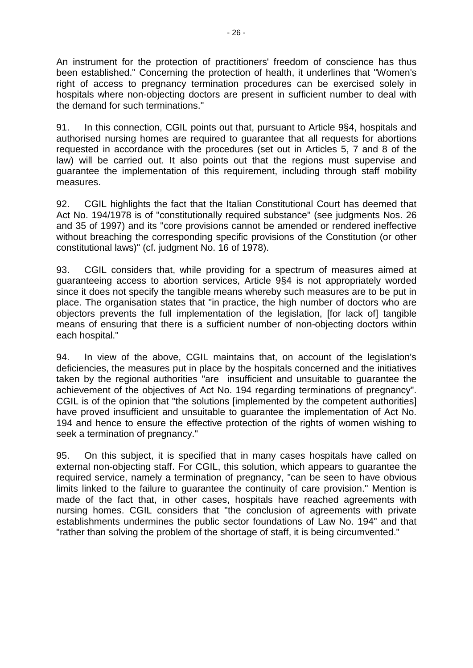An instrument for the protection of practitioners' freedom of conscience has thus been established." Concerning the protection of health, it underlines that "Women's right of access to pregnancy termination procedures can be exercised solely in hospitals where non-objecting doctors are present in sufficient number to deal with the demand for such terminations."

91. In this connection, CGIL points out that, pursuant to Article 9§4, hospitals and authorised nursing homes are required to guarantee that all requests for abortions requested in accordance with the procedures (set out in Articles 5, 7 and 8 of the law) will be carried out. It also points out that the regions must supervise and guarantee the implementation of this requirement, including through staff mobility measures.

92. CGIL highlights the fact that the Italian Constitutional Court has deemed that Act No. 194/1978 is of "constitutionally required substance" (see judgments Nos. 26 and 35 of 1997) and its "core provisions cannot be amended or rendered ineffective without breaching the corresponding specific provisions of the Constitution (or other constitutional laws)" (cf. judgment No. 16 of 1978).

93. CGIL considers that, while providing for a spectrum of measures aimed at guaranteeing access to abortion services, Article 9§4 is not appropriately worded since it does not specify the tangible means whereby such measures are to be put in place. The organisation states that "in practice, the high number of doctors who are objectors prevents the full implementation of the legislation, [for lack of] tangible means of ensuring that there is a sufficient number of non-objecting doctors within each hospital."

94. In view of the above, CGIL maintains that, on account of the legislation's deficiencies, the measures put in place by the hospitals concerned and the initiatives taken by the regional authorities "are insufficient and unsuitable to guarantee the achievement of the objectives of Act No. 194 regarding terminations of pregnancy". CGIL is of the opinion that "the solutions [implemented by the competent authorities] have proved insufficient and unsuitable to guarantee the implementation of Act No. 194 and hence to ensure the effective protection of the rights of women wishing to seek a termination of pregnancy."

95. On this subject, it is specified that in many cases hospitals have called on external non-objecting staff. For CGIL, this solution, which appears to guarantee the required service, namely a termination of pregnancy, "can be seen to have obvious limits linked to the failure to guarantee the continuity of care provision." Mention is made of the fact that, in other cases, hospitals have reached agreements with nursing homes. CGIL considers that "the conclusion of agreements with private establishments undermines the public sector foundations of Law No. 194" and that "rather than solving the problem of the shortage of staff, it is being circumvented."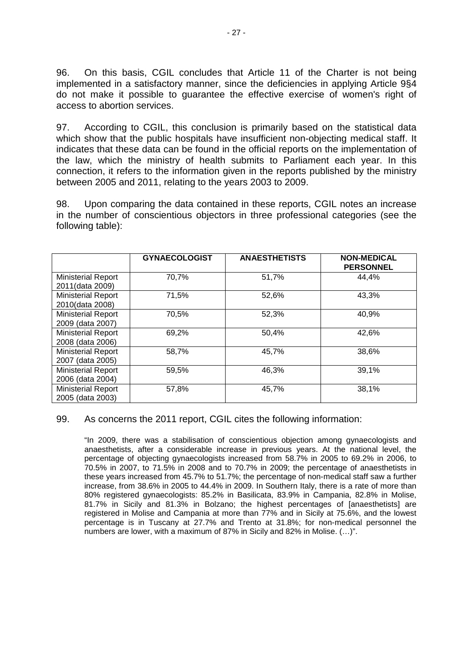96. On this basis, CGIL concludes that Article 11 of the Charter is not being implemented in a satisfactory manner, since the deficiencies in applying Article 9§4 do not make it possible to guarantee the effective exercise of women's right of access to abortion services.

97. According to CGIL, this conclusion is primarily based on the statistical data which show that the public hospitals have insufficient non-objecting medical staff. It indicates that these data can be found in the official reports on the implementation of the law, which the ministry of health submits to Parliament each year. In this connection, it refers to the information given in the reports published by the ministry between 2005 and 2011, relating to the years 2003 to 2009.

98. Upon comparing the data contained in these reports, CGIL notes an increase in the number of conscientious objectors in three professional categories (see the following table):

|                           | <b>GYNAECOLOGIST</b> | <b>ANAESTHETISTS</b> | <b>NON-MEDICAL</b><br><b>PERSONNEL</b> |
|---------------------------|----------------------|----------------------|----------------------------------------|
| <b>Ministerial Report</b> | 70,7%                | 51,7%                | 44,4%                                  |
| 2011(data 2009)           |                      |                      |                                        |
| Ministerial Report        | 71,5%                | 52,6%                | 43,3%                                  |
| 2010(data 2008)           |                      |                      |                                        |
| <b>Ministerial Report</b> | 70,5%                | 52,3%                | 40,9%                                  |
| 2009 (data 2007)          |                      |                      |                                        |
| <b>Ministerial Report</b> | 69,2%                | 50,4%                | 42,6%                                  |
| 2008 (data 2006)          |                      |                      |                                        |
| <b>Ministerial Report</b> | 58,7%                | 45,7%                | 38,6%                                  |
| 2007 (data 2005)          |                      |                      |                                        |
| <b>Ministerial Report</b> | 59,5%                | 46,3%                | 39,1%                                  |
| 2006 (data 2004)          |                      |                      |                                        |
| <b>Ministerial Report</b> | 57,8%                | 45,7%                | 38,1%                                  |
| 2005 (data 2003)          |                      |                      |                                        |

#### 99. As concerns the 2011 report, CGIL cites the following information:

"In 2009, there was a stabilisation of conscientious objection among gynaecologists and anaesthetists, after a considerable increase in previous years. At the national level, the percentage of objecting gynaecologists increased from 58.7% in 2005 to 69.2% in 2006, to 70.5% in 2007, to 71.5% in 2008 and to 70.7% in 2009; the percentage of anaesthetists in these years increased from 45.7% to 51.7%; the percentage of non-medical staff saw a further increase, from 38.6% in 2005 to 44.4% in 2009. In Southern Italy, there is a rate of more than 80% registered gynaecologists: 85.2% in Basilicata, 83.9% in Campania, 82.8% in Molise, 81.7% in Sicily and 81.3% in Bolzano; the highest percentages of [anaesthetists] are registered in Molise and Campania at more than 77% and in Sicily at 75.6%, and the lowest percentage is in Tuscany at 27.7% and Trento at 31.8%; for non-medical personnel the numbers are lower, with a maximum of 87% in Sicily and 82% in Molise. (…)".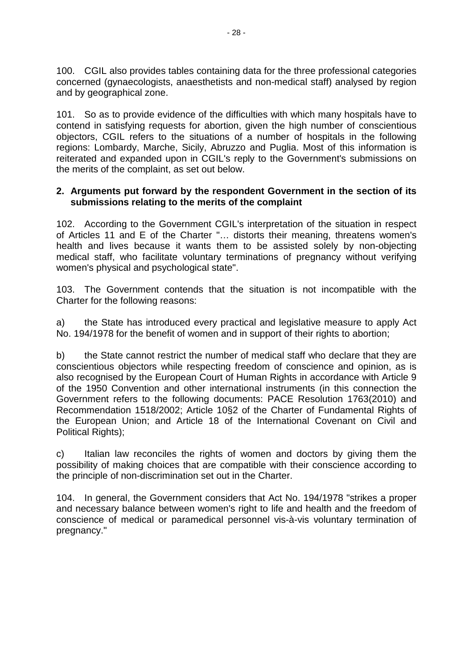100. CGIL also provides tables containing data for the three professional categories concerned (gynaecologists, anaesthetists and non-medical staff) analysed by region and by geographical zone.

101. So as to provide evidence of the difficulties with which many hospitals have to contend in satisfying requests for abortion, given the high number of conscientious objectors, CGIL refers to the situations of a number of hospitals in the following regions: Lombardy, Marche, Sicily, Abruzzo and Puglia. Most of this information is reiterated and expanded upon in CGIL's reply to the Government's submissions on the merits of the complaint, as set out below.

## **2. Arguments put forward by the respondent Government in the section of its submissions relating to the merits of the complaint**

102. According to the Government CGIL's interpretation of the situation in respect of Articles 11 and E of the Charter "… distorts their meaning, threatens women's health and lives because it wants them to be assisted solely by non-objecting medical staff, who facilitate voluntary terminations of pregnancy without verifying women's physical and psychological state".

103. The Government contends that the situation is not incompatible with the Charter for the following reasons:

a) the State has introduced every practical and legislative measure to apply Act No. 194/1978 for the benefit of women and in support of their rights to abortion;

b) the State cannot restrict the number of medical staff who declare that they are conscientious objectors while respecting freedom of conscience and opinion, as is also recognised by the European Court of Human Rights in accordance with Article 9 of the 1950 Convention and other international instruments (in this connection the Government refers to the following documents: PACE Resolution 1763(2010) and Recommendation 1518/2002; Article 10§2 of the Charter of Fundamental Rights of the European Union; and Article 18 of the International Covenant on Civil and Political Rights);

c) Italian law reconciles the rights of women and doctors by giving them the possibility of making choices that are compatible with their conscience according to the principle of non-discrimination set out in the Charter.

104. In general, the Government considers that Act No. 194/1978 "strikes a proper and necessary balance between women's right to life and health and the freedom of conscience of medical or paramedical personnel vis-à-vis voluntary termination of pregnancy."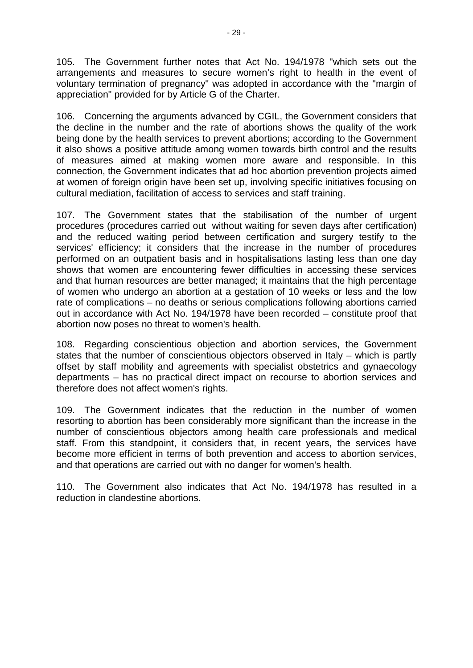105. The Government further notes that Act No. 194/1978 "which sets out the arrangements and measures to secure women's right to health in the event of voluntary termination of pregnancy" was adopted in accordance with the "margin of appreciation" provided for by Article G of the Charter.

106. Concerning the arguments advanced by CGIL, the Government considers that the decline in the number and the rate of abortions shows the quality of the work being done by the health services to prevent abortions; according to the Government it also shows a positive attitude among women towards birth control and the results of measures aimed at making women more aware and responsible. In this connection, the Government indicates that ad hoc abortion prevention projects aimed at women of foreign origin have been set up, involving specific initiatives focusing on cultural mediation, facilitation of access to services and staff training.

107. The Government states that the stabilisation of the number of urgent procedures (procedures carried out without waiting for seven days after certification) and the reduced waiting period between certification and surgery testify to the services' efficiency; it considers that the increase in the number of procedures performed on an outpatient basis and in hospitalisations lasting less than one day shows that women are encountering fewer difficulties in accessing these services and that human resources are better managed; it maintains that the high percentage of women who undergo an abortion at a gestation of 10 weeks or less and the low rate of complications – no deaths or serious complications following abortions carried out in accordance with Act No. 194/1978 have been recorded – constitute proof that abortion now poses no threat to women's health.

108. Regarding conscientious objection and abortion services, the Government states that the number of conscientious objectors observed in Italy – which is partly offset by staff mobility and agreements with specialist obstetrics and gynaecology departments – has no practical direct impact on recourse to abortion services and therefore does not affect women's rights.

109. The Government indicates that the reduction in the number of women resorting to abortion has been considerably more significant than the increase in the number of conscientious objectors among health care professionals and medical staff. From this standpoint, it considers that, in recent years, the services have become more efficient in terms of both prevention and access to abortion services, and that operations are carried out with no danger for women's health.

110. The Government also indicates that Act No. 194/1978 has resulted in a reduction in clandestine abortions.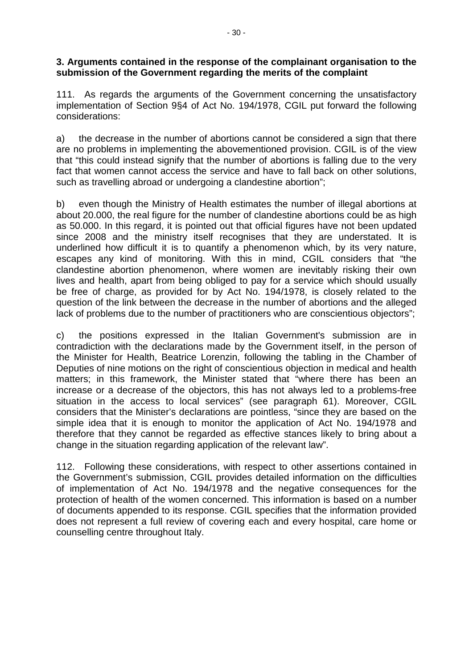## **3. Arguments contained in the response of the complainant organisation to the submission of the Government regarding the merits of the complaint**

111. As regards the arguments of the Government concerning the unsatisfactory implementation of Section 9§4 of Act No. 194/1978, CGIL put forward the following considerations:

a) the decrease in the number of abortions cannot be considered a sign that there are no problems in implementing the abovementioned provision. CGIL is of the view that "this could instead signify that the number of abortions is falling due to the very fact that women cannot access the service and have to fall back on other solutions, such as travelling abroad or undergoing a clandestine abortion";

b) even though the Ministry of Health estimates the number of illegal abortions at about 20.000, the real figure for the number of clandestine abortions could be as high as 50.000. In this regard, it is pointed out that official figures have not been updated since 2008 and the ministry itself recognises that they are understated. It is underlined how difficult it is to quantify a phenomenon which, by its very nature, escapes any kind of monitoring. With this in mind, CGIL considers that "the clandestine abortion phenomenon, where women are inevitably risking their own lives and health, apart from being obliged to pay for a service which should usually be free of charge, as provided for by Act No. 194/1978, is closely related to the question of the link between the decrease in the number of abortions and the alleged lack of problems due to the number of practitioners who are conscientious objectors";

c) the positions expressed in the Italian Government's submission are in contradiction with the declarations made by the Government itself, in the person of the Minister for Health, Beatrice Lorenzin, following the tabling in the Chamber of Deputies of nine motions on the right of conscientious objection in medical and health matters; in this framework, the Minister stated that "where there has been an increase or a decrease of the objectors, this has not always led to a problems-free situation in the access to local services" (see paragraph 61). Moreover, CGIL considers that the Minister's declarations are pointless, "since they are based on the simple idea that it is enough to monitor the application of Act No. 194/1978 and therefore that they cannot be regarded as effective stances likely to bring about a change in the situation regarding application of the relevant law".

112. Following these considerations, with respect to other assertions contained in the Government's submission, CGIL provides detailed information on the difficulties of implementation of Act No. 194/1978 and the negative consequences for the protection of health of the women concerned. This information is based on a number of documents appended to its response. CGIL specifies that the information provided does not represent a full review of covering each and every hospital, care home or counselling centre throughout Italy.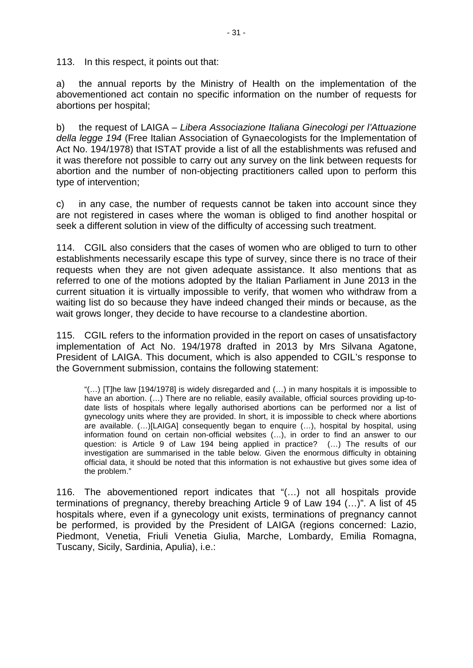113. In this respect, it points out that:

a) the annual reports by the Ministry of Health on the implementation of the abovementioned act contain no specific information on the number of requests for abortions per hospital;

b) the request of LAIGA – *Libera Associazione Italiana Ginecologi per l'Attuazione della legge 194* (Free Italian Association of Gynaecologists for the Implementation of Act No. 194/1978) that ISTAT provide a list of all the establishments was refused and it was therefore not possible to carry out any survey on the link between requests for abortion and the number of non-objecting practitioners called upon to perform this type of intervention;

c) in any case, the number of requests cannot be taken into account since they are not registered in cases where the woman is obliged to find another hospital or seek a different solution in view of the difficulty of accessing such treatment.

114. CGIL also considers that the cases of women who are obliged to turn to other establishments necessarily escape this type of survey, since there is no trace of their requests when they are not given adequate assistance. It also mentions that as referred to one of the motions adopted by the Italian Parliament in June 2013 in the current situation it is virtually impossible to verify, that women who withdraw from a waiting list do so because they have indeed changed their minds or because, as the wait grows longer, they decide to have recourse to a clandestine abortion.

115. CGIL refers to the information provided in the report on cases of unsatisfactory implementation of Act No. 194/1978 drafted in 2013 by Mrs Silvana Agatone, President of LAIGA. This document, which is also appended to CGIL's response to the Government submission, contains the following statement:

" $(...)$  [T]he law [194/1978] is widely disregarded and  $(...)$  in many hospitals it is impossible to have an abortion.  $(...)$  There are no reliable, easily available, official sources providing up-todate lists of hospitals where legally authorised abortions can be performed nor a list of gynecology units where they are provided. In short, it is impossible to check where abortions are available. (…)[LAIGA] consequently began to enquire (…), hospital by hospital, using information found on certain non-official websites (…), in order to find an answer to our question: is Article 9 of Law 194 being applied in practice? (…) The results of our investigation are summarised in the table below. Given the enormous difficulty in obtaining official data, it should be noted that this information is not exhaustive but gives some idea of the problem."

116. The abovementioned report indicates that "(…) not all hospitals provide terminations of pregnancy, thereby breaching Article 9 of Law 194 (…)". A list of 45 hospitals where, even if a gynecology unit exists, terminations of pregnancy cannot be performed, is provided by the President of LAIGA (regions concerned: Lazio, Piedmont, Venetia, Friuli Venetia Giulia, Marche, Lombardy, Emilia Romagna, Tuscany, Sicily, Sardinia, Apulia), i.e.: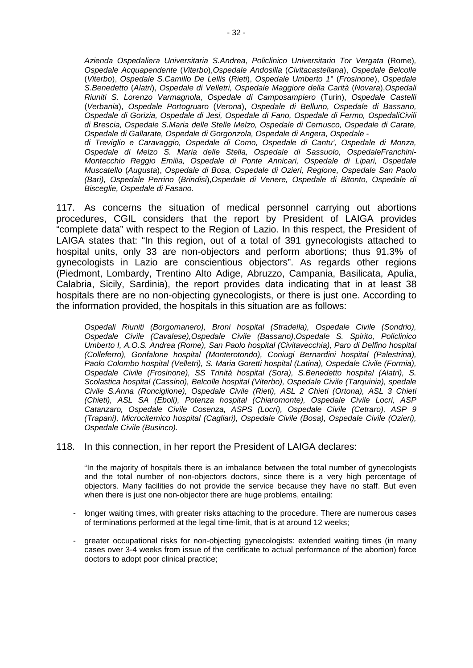*Azienda Ospedaliera Universitaria S.Andrea*, *Policlinico Universitario Tor Vergata* (Rome)*, Ospedale Acquapendente* (*Viterbo*),*Ospedale Andosilla* (*Civitacastellana*), *Ospedale Belcolle*  (*Viterbo*), *Ospedale S.Camillo De Lellis* (*Rieti*), *Ospedale Umberto 1°* (*Frosinone*), *Ospedale S.Benedetto* (*Alatri*), *Ospedale di Velletri, Ospedale Maggiore della Carità* (*Novara*),*Ospedali Riuniti S. Lorenzo Varmagnola*, *Ospedale di Camposampiero* (Turin), *Ospedale Castelli*  (*Verbania*), *Ospedale Portogruaro* (*Verona*), *Ospedale di Belluno, Ospedale di Bassano, Ospedale di Gorizia, Ospedale di Jesi, Ospedale di Fano, Ospedale di Fermo, OspedaliCivili di Brescia, Ospedale S.Maria delle Stelle Melzo, Ospedale di Cernusco, Ospedale di Carate, Ospedale di Gallarate, Ospedale di Gorgonzola, Ospedale di Angera, Ospedale* -

*di Treviglio e Caravaggio, Ospedale di Como, Ospedale di Cantu', Ospedale di Monza, Ospedale di Melzo S. Maria delle Stella, Ospedale di Sassuolo, OspedaleFranchini-Montecchio Reggio Emilia, Ospedale di Ponte Annicari, Ospedale di Lipari, Ospedale Muscatello* (*Augusta*), *Ospedale di Bosa, Ospedale di Ozieri, Regione, Ospedale San Paolo (Bari), Ospedale Perrino* (*Brindisi*),*Ospedale di Venere, Ospedale di Bitonto, Ospedale di Bisceglie, Ospedale di Fasano*.

117. As concerns the situation of medical personnel carrying out abortions procedures, CGIL considers that the report by President of LAIGA provides "complete data" with respect to the Region of Lazio. In this respect, the President of LAIGA states that: "In this region, out of a total of 391 gynecologists attached to hospital units, only 33 are non-objectors and perform abortions; thus 91.3% of gynecologists in Lazio are conscientious objectors". As regards other regions (Piedmont, Lombardy, Trentino Alto Adige, Abruzzo, Campania, Basilicata, Apulia, Calabria, Sicily, Sardinia), the report provides data indicating that in at least 38 hospitals there are no non-objecting gynecologists, or there is just one. According to the information provided, the hospitals in this situation are as follows:

*Ospedali Riuniti (Borgomanero), Broni hospital (Stradella), Ospedale Civile (Sondrio), Ospedale Civile (Cavalese),Ospedale Civile (Bassano),Ospedale S. Spirito, Policlinico Umberto I, A.O.S. Andrea (Rome), San Paolo hospital (Civitavecchia), Paro di Delfino hospital (Colleferro), Gonfalone hospital (Monterotondo), Coniugi Bernardini hospital (Palestrina), Paolo Colombo hospital (Velletri), S. Maria Goretti hospital (Latina), Ospedale Civile (Formia), Ospedale Civile (Frosinone), SS Trinità hospital (Sora), S.Benedetto hospital (Alatri), S. Scolastica hospital (Cassino), Belcolle hospital (Viterbo), Ospedale Civile (Tarquinia), spedale Civile S.Anna (Ronciglione), Ospedale Civile (Rieti), ASL 2 Chieti (Ortona), ASL 3 Chieti (Chieti), ASL SA (Eboli), Potenza hospital (Chiaromonte), Ospedale Civile Locri, ASP Catanzaro, Ospedale Civile Cosenza, ASPS (Locri), Ospedale Civile (Cetraro), ASP 9 (Trapani), Microcitemico hospital (Cagliari), Ospedale Civile (Bosa), Ospedale Civile (Ozieri), Ospedale Civile (Businco).* 

#### 118. In this connection, in her report the President of LAIGA declares:

"In the majority of hospitals there is an imbalance between the total number of gynecologists and the total number of non-objectors doctors, since there is a very high percentage of objectors. Many facilities do not provide the service because they have no staff. But even when there is just one non-objector there are huge problems, entailing:

- longer waiting times, with greater risks attaching to the procedure. There are numerous cases of terminations performed at the legal time-limit, that is at around 12 weeks;
- greater occupational risks for non-objecting gynecologists: extended waiting times (in many cases over 3-4 weeks from issue of the certificate to actual performance of the abortion) force doctors to adopt poor clinical practice;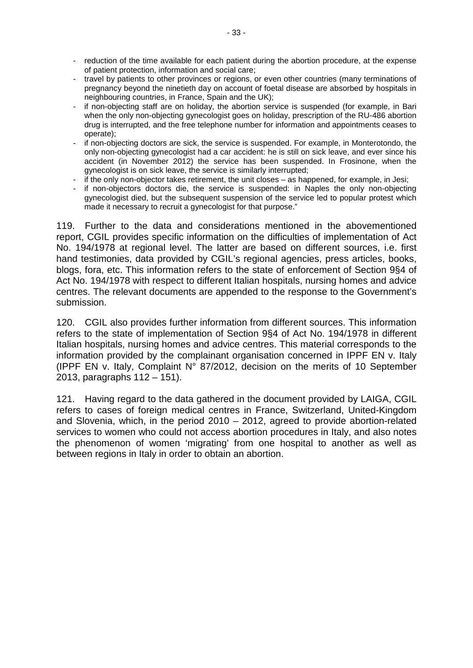- reduction of the time available for each patient during the abortion procedure, at the expense of patient protection, information and social care;
- travel by patients to other provinces or regions, or even other countries (many terminations of pregnancy beyond the ninetieth day on account of foetal disease are absorbed by hospitals in neighbouring countries, in France, Spain and the UK);
- if non-objecting staff are on holiday, the abortion service is suspended (for example, in Bari when the only non-objecting gynecologist goes on holiday, prescription of the RU-486 abortion drug is interrupted, and the free telephone number for information and appointments ceases to operate);
- if non-objecting doctors are sick, the service is suspended. For example, in Monterotondo, the only non-objecting gynecologist had a car accident: he is still on sick leave, and ever since his accident (in November 2012) the service has been suspended. In Frosinone, when the gynecologist is on sick leave, the service is similarly interrupted;
- if the only non-objector takes retirement, the unit closes as happened, for example, in Jesi;
- if non-objectors doctors die, the service is suspended: in Naples the only non-objecting gynecologist died, but the subsequent suspension of the service led to popular protest which made it necessary to recruit a gynecologist for that purpose."

119. Further to the data and considerations mentioned in the abovementioned report, CGIL provides specific information on the difficulties of implementation of Act No. 194/1978 at regional level. The latter are based on different sources, i.e. first hand testimonies, data provided by CGIL's regional agencies, press articles, books, blogs, fora, etc. This information refers to the state of enforcement of Section 9§4 of Act No. 194/1978 with respect to different Italian hospitals, nursing homes and advice centres. The relevant documents are appended to the response to the Government's submission.

120. CGIL also provides further information from different sources. This information refers to the state of implementation of Section 9§4 of Act No. 194/1978 in different Italian hospitals, nursing homes and advice centres. This material corresponds to the information provided by the complainant organisation concerned in IPPF EN v. Italy (IPPF EN v. Italy, Complaint N° 87/2012, decision on the merits of 10 September 2013, paragraphs 112 – 151).

121. Having regard to the data gathered in the document provided by LAIGA, CGIL refers to cases of foreign medical centres in France, Switzerland, United-Kingdom and Slovenia, which, in the period 2010 – 2012, agreed to provide abortion-related services to women who could not access abortion procedures in Italy, and also notes the phenomenon of women 'migrating' from one hospital to another as well as between regions in Italy in order to obtain an abortion.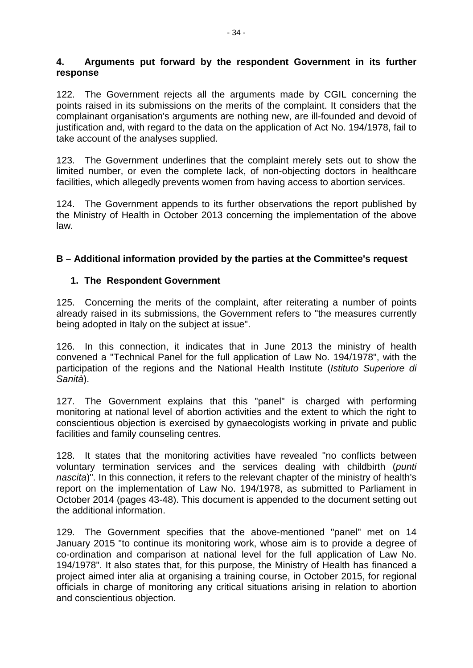## **4. Arguments put forward by the respondent Government in its further response**

122. The Government rejects all the arguments made by CGIL concerning the points raised in its submissions on the merits of the complaint. It considers that the complainant organisation's arguments are nothing new, are ill-founded and devoid of justification and, with regard to the data on the application of Act No. 194/1978, fail to take account of the analyses supplied.

123. The Government underlines that the complaint merely sets out to show the limited number, or even the complete lack, of non-objecting doctors in healthcare facilities, which allegedly prevents women from having access to abortion services.

124. The Government appends to its further observations the report published by the Ministry of Health in October 2013 concerning the implementation of the above law.

## **B – Additional information provided by the parties at the Committee's request**

## **1. The Respondent Government**

125. Concerning the merits of the complaint, after reiterating a number of points already raised in its submissions, the Government refers to "the measures currently being adopted in Italy on the subject at issue".

126. In this connection, it indicates that in June 2013 the ministry of health convened a "Technical Panel for the full application of Law No. 194/1978", with the participation of the regions and the National Health Institute (*Istituto Superiore di Sanità*).

127. The Government explains that this "panel" is charged with performing monitoring at national level of abortion activities and the extent to which the right to conscientious objection is exercised by gynaecologists working in private and public facilities and family counseling centres.

128. It states that the monitoring activities have revealed "no conflicts between voluntary termination services and the services dealing with childbirth (*punti nascita*)". In this connection, it refers to the relevant chapter of the ministry of health's report on the implementation of Law No. 194/1978, as submitted to Parliament in October 2014 (pages 43-48). This document is appended to the document setting out the additional information.

129. The Government specifies that the above-mentioned "panel" met on 14 January 2015 "to continue its monitoring work, whose aim is to provide a degree of co-ordination and comparison at national level for the full application of Law No. 194/1978". It also states that, for this purpose, the Ministry of Health has financed a project aimed inter alia at organising a training course, in October 2015, for regional officials in charge of monitoring any critical situations arising in relation to abortion and conscientious objection.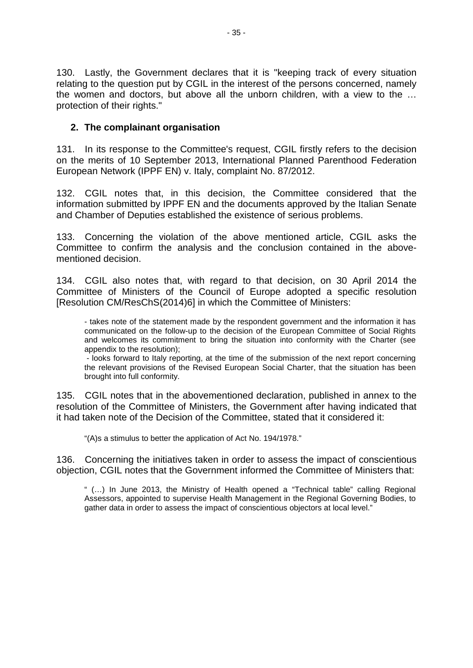130. Lastly, the Government declares that it is "keeping track of every situation relating to the question put by CGIL in the interest of the persons concerned, namely the women and doctors, but above all the unborn children, with a view to the … protection of their rights."

## **2. The complainant organisation**

131. In its response to the Committee's request, CGIL firstly refers to the decision on the merits of 10 September 2013, International Planned Parenthood Federation European Network (IPPF EN) v. Italy, complaint No. 87/2012.

132. CGIL notes that, in this decision, the Committee considered that the information submitted by IPPF EN and the documents approved by the Italian Senate and Chamber of Deputies established the existence of serious problems.

133. Concerning the violation of the above mentioned article, CGIL asks the Committee to confirm the analysis and the conclusion contained in the abovementioned decision.

134. CGIL also notes that, with regard to that decision, on 30 April 2014 the Committee of Ministers of the Council of Europe adopted a specific resolution [Resolution CM/ResChS(2014)6] in which the Committee of Ministers:

- takes note of the statement made by the respondent government and the information it has communicated on the follow-up to the decision of the European Committee of Social Rights and welcomes its commitment to bring the situation into conformity with the Charter (see appendix to the resolution);

- looks forward to Italy reporting, at the time of the submission of the next report concerning the relevant provisions of the Revised European Social Charter, that the situation has been brought into full conformity.

135. CGIL notes that in the abovementioned declaration, published in annex to the resolution of the Committee of Ministers, the Government after having indicated that it had taken note of the Decision of the Committee, stated that it considered it:

"(A)s a stimulus to better the application of Act No. 194/1978."

136. Concerning the initiatives taken in order to assess the impact of conscientious objection, CGIL notes that the Government informed the Committee of Ministers that:

" (…) In June 2013, the Ministry of Health opened a "Technical table" calling Regional Assessors, appointed to supervise Health Management in the Regional Governing Bodies, to gather data in order to assess the impact of conscientious objectors at local level."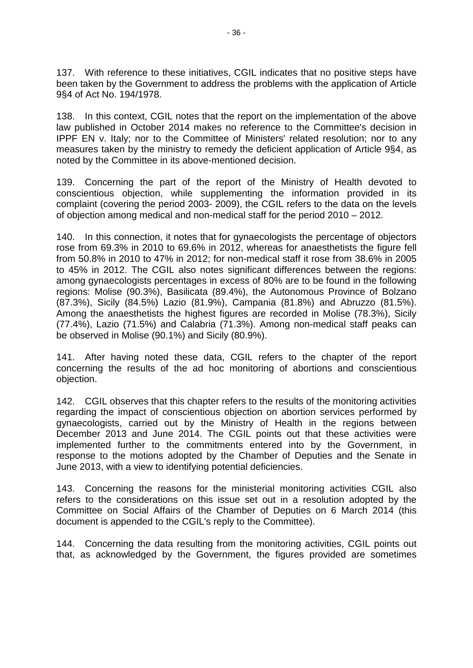137. With reference to these initiatives, CGIL indicates that no positive steps have been taken by the Government to address the problems with the application of Article 9§4 of Act No. 194/1978.

138. In this context, CGIL notes that the report on the implementation of the above law published in October 2014 makes no reference to the Committee's decision in IPPF EN v. Italy; nor to the Committee of Ministers' related resolution; nor to any measures taken by the ministry to remedy the deficient application of Article 9§4, as noted by the Committee in its above-mentioned decision.

139. Concerning the part of the report of the Ministry of Health devoted to conscientious objection, while supplementing the information provided in its complaint (covering the period 2003- 2009), the CGIL refers to the data on the levels of objection among medical and non-medical staff for the period 2010 – 2012.

140. In this connection, it notes that for gynaecologists the percentage of objectors rose from 69.3% in 2010 to 69.6% in 2012, whereas for anaesthetists the figure fell from 50.8% in 2010 to 47% in 2012; for non-medical staff it rose from 38.6% in 2005 to 45% in 2012. The CGIL also notes significant differences between the regions: among gynaecologists percentages in excess of 80% are to be found in the following regions: Molise (90.3%), Basilicata (89.4%), the Autonomous Province of Bolzano (87.3%), Sicily (84.5%) Lazio (81.9%), Campania (81.8%) and Abruzzo (81.5%). Among the anaesthetists the highest figures are recorded in Molise (78.3%), Sicily (77.4%), Lazio (71.5%) and Calabria (71.3%). Among non-medical staff peaks can be observed in Molise (90.1%) and Sicily (80.9%).

141. After having noted these data, CGIL refers to the chapter of the report concerning the results of the ad hoc monitoring of abortions and conscientious objection.

142. CGIL observes that this chapter refers to the results of the monitoring activities regarding the impact of conscientious objection on abortion services performed by gynaecologists, carried out by the Ministry of Health in the regions between December 2013 and June 2014. The CGIL points out that these activities were implemented further to the commitments entered into by the Government, in response to the motions adopted by the Chamber of Deputies and the Senate in June 2013, with a view to identifying potential deficiencies.

143. Concerning the reasons for the ministerial monitoring activities CGIL also refers to the considerations on this issue set out in a resolution adopted by the Committee on Social Affairs of the Chamber of Deputies on 6 March 2014 (this document is appended to the CGIL's reply to the Committee).

144. Concerning the data resulting from the monitoring activities, CGIL points out that, as acknowledged by the Government, the figures provided are sometimes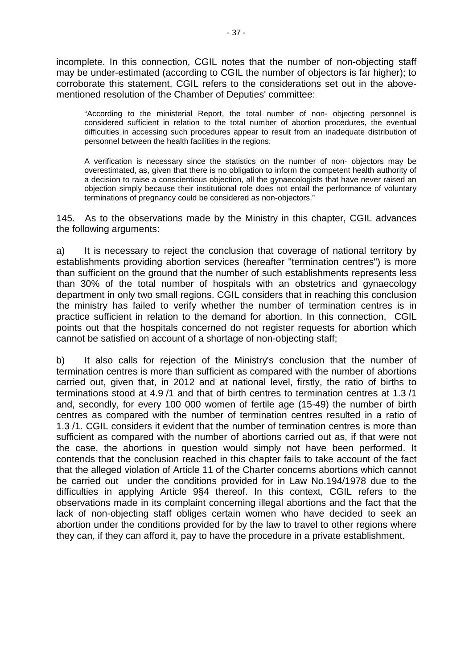incomplete. In this connection, CGIL notes that the number of non-objecting staff may be under-estimated (according to CGIL the number of objectors is far higher); to corroborate this statement, CGIL refers to the considerations set out in the abovementioned resolution of the Chamber of Deputies' committee:

"According to the ministerial Report, the total number of non- objecting personnel is considered sufficient in relation to the total number of abortion procedures, the eventual difficulties in accessing such procedures appear to result from an inadequate distribution of personnel between the health facilities in the regions.

A verification is necessary since the statistics on the number of non- objectors may be overestimated, as, given that there is no obligation to inform the competent health authority of a decision to raise a conscientious objection, all the gynaecologists that have never raised an objection simply because their institutional role does not entail the performance of voluntary terminations of pregnancy could be considered as non-objectors."

145. As to the observations made by the Ministry in this chapter, CGIL advances the following arguments:

a) It is necessary to reject the conclusion that coverage of national territory by establishments providing abortion services (hereafter "termination centres") is more than sufficient on the ground that the number of such establishments represents less than 30% of the total number of hospitals with an obstetrics and gynaecology department in only two small regions. CGIL considers that in reaching this conclusion the ministry has failed to verify whether the number of termination centres is in practice sufficient in relation to the demand for abortion. In this connection, CGIL points out that the hospitals concerned do not register requests for abortion which cannot be satisfied on account of a shortage of non-objecting staff;

b) It also calls for rejection of the Ministry's conclusion that the number of termination centres is more than sufficient as compared with the number of abortions carried out, given that, in 2012 and at national level, firstly, the ratio of births to terminations stood at 4.9 /1 and that of birth centres to termination centres at 1.3 /1 and, secondly, for every 100 000 women of fertile age (15-49) the number of birth centres as compared with the number of termination centres resulted in a ratio of 1.3 /1. CGIL considers it evident that the number of termination centres is more than sufficient as compared with the number of abortions carried out as, if that were not the case, the abortions in question would simply not have been performed. It contends that the conclusion reached in this chapter fails to take account of the fact that the alleged violation of Article 11 of the Charter concerns abortions which cannot be carried out under the conditions provided for in Law No.194/1978 due to the difficulties in applying Article 9§4 thereof. In this context, CGIL refers to the observations made in its complaint concerning illegal abortions and the fact that the lack of non-objecting staff obliges certain women who have decided to seek an abortion under the conditions provided for by the law to travel to other regions where they can, if they can afford it, pay to have the procedure in a private establishment.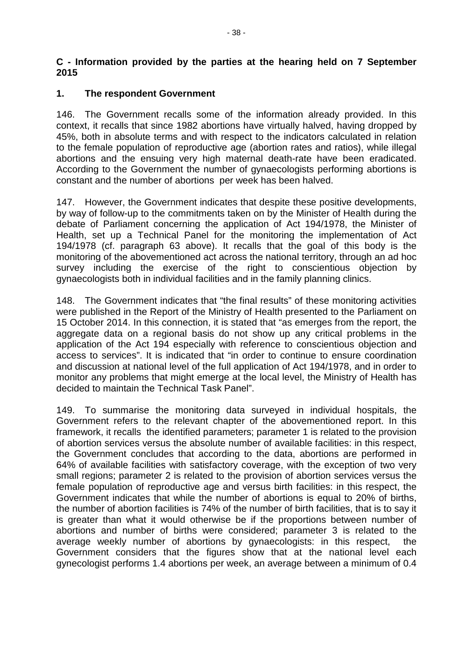## **C - Information provided by the parties at the hearing held on 7 September 2015**

## **1. The respondent Government**

146. The Government recalls some of the information already provided. In this context, it recalls that since 1982 abortions have virtually halved, having dropped by 45%, both in absolute terms and with respect to the indicators calculated in relation to the female population of reproductive age (abortion rates and ratios), while illegal abortions and the ensuing very high maternal death-rate have been eradicated. According to the Government the number of gynaecologists performing abortions is constant and the number of abortions per week has been halved.

147. However, the Government indicates that despite these positive developments, by way of follow-up to the commitments taken on by the Minister of Health during the debate of Parliament concerning the application of Act 194/1978, the Minister of Health, set up a Technical Panel for the monitoring the implementation of Act 194/1978 (cf. paragraph 63 above). It recalls that the goal of this body is the monitoring of the abovementioned act across the national territory, through an ad hoc survey including the exercise of the right to conscientious objection by gynaecologists both in individual facilities and in the family planning clinics.

148. The Government indicates that "the final results" of these monitoring activities were published in the Report of the Ministry of Health presented to the Parliament on 15 October 2014. In this connection, it is stated that "as emerges from the report, the aggregate data on a regional basis do not show up any critical problems in the application of the Act 194 especially with reference to conscientious objection and access to services". It is indicated that "in order to continue to ensure coordination and discussion at national level of the full application of Act 194/1978, and in order to monitor any problems that might emerge at the local level, the Ministry of Health has decided to maintain the Technical Task Panel".

149. To summarise the monitoring data surveyed in individual hospitals, the Government refers to the relevant chapter of the abovementioned report. In this framework, it recalls the identified parameters; parameter 1 is related to the provision of abortion services versus the absolute number of available facilities: in this respect, the Government concludes that according to the data, abortions are performed in 64% of available facilities with satisfactory coverage, with the exception of two very small regions; parameter 2 is related to the provision of abortion services versus the female population of reproductive age and versus birth facilities: in this respect, the Government indicates that while the number of abortions is equal to 20% of births, the number of abortion facilities is 74% of the number of birth facilities, that is to say it is greater than what it would otherwise be if the proportions between number of abortions and number of births were considered; parameter 3 is related to the average weekly number of abortions by gynaecologists: in this respect, the Government considers that the figures show that at the national level each gynecologist performs 1.4 abortions per week, an average between a minimum of 0.4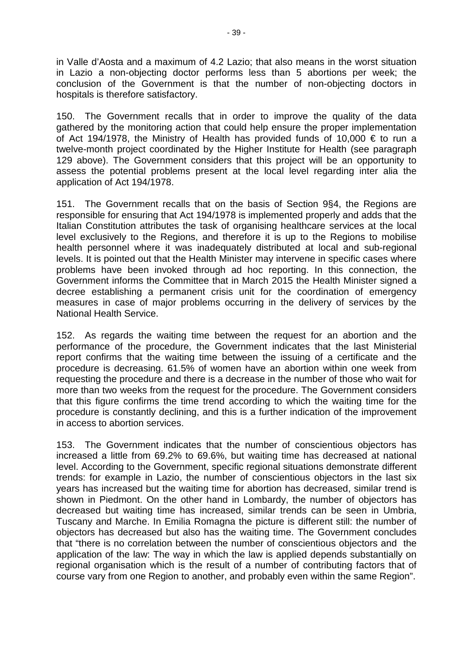in Valle d'Aosta and a maximum of 4.2 Lazio; that also means in the worst situation in Lazio a non-objecting doctor performs less than 5 abortions per week; the conclusion of the Government is that the number of non-objecting doctors in hospitals is therefore satisfactory.

150. The Government recalls that in order to improve the quality of the data gathered by the monitoring action that could help ensure the proper implementation of Act 194/1978, the Ministry of Health has provided funds of 10,000  $\epsilon$  to run a twelve-month project coordinated by the Higher Institute for Health (see paragraph 129 above). The Government considers that this project will be an opportunity to assess the potential problems present at the local level regarding inter alia the application of Act 194/1978.

151. The Government recalls that on the basis of Section 9§4, the Regions are responsible for ensuring that Act 194/1978 is implemented properly and adds that the Italian Constitution attributes the task of organising healthcare services at the local level exclusively to the Regions, and therefore it is up to the Regions to mobilise health personnel where it was inadequately distributed at local and sub-regional levels. It is pointed out that the Health Minister may intervene in specific cases where problems have been invoked through ad hoc reporting. In this connection, the Government informs the Committee that in March 2015 the Health Minister signed a decree establishing a permanent crisis unit for the coordination of emergency measures in case of major problems occurring in the delivery of services by the National Health Service.

152. As regards the waiting time between the request for an abortion and the performance of the procedure, the Government indicates that the last Ministerial report confirms that the waiting time between the issuing of a certificate and the procedure is decreasing. 61.5% of women have an abortion within one week from requesting the procedure and there is a decrease in the number of those who wait for more than two weeks from the request for the procedure. The Government considers that this figure confirms the time trend according to which the waiting time for the procedure is constantly declining, and this is a further indication of the improvement in access to abortion services.

153. The Government indicates that the number of conscientious objectors has increased a little from 69.2% to 69.6%, but waiting time has decreased at national level. According to the Government, specific regional situations demonstrate different trends: for example in Lazio, the number of conscientious objectors in the last six years has increased but the waiting time for abortion has decreased, similar trend is shown in Piedmont. On the other hand in Lombardy, the number of objectors has decreased but waiting time has increased, similar trends can be seen in Umbria, Tuscany and Marche. In Emilia Romagna the picture is different still: the number of objectors has decreased but also has the waiting time. The Government concludes that "there is no correlation between the number of conscientious objectors and the application of the law: The way in which the law is applied depends substantially on regional organisation which is the result of a number of contributing factors that of course vary from one Region to another, and probably even within the same Region".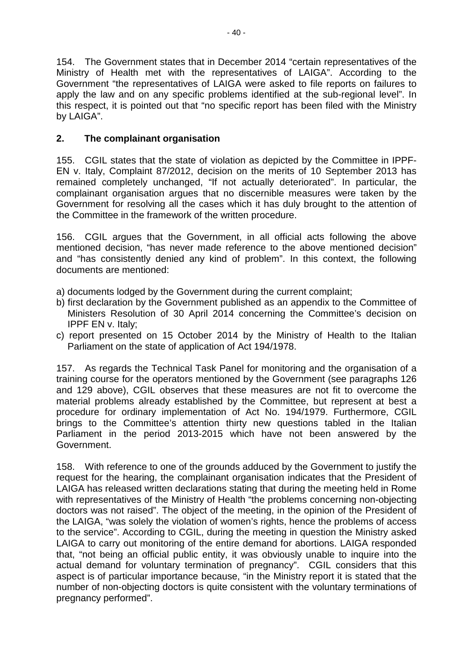154. The Government states that in December 2014 "certain representatives of the Ministry of Health met with the representatives of LAIGA". According to the Government "the representatives of LAIGA were asked to file reports on failures to apply the law and on any specific problems identified at the sub-regional level". In this respect, it is pointed out that "no specific report has been filed with the Ministry by LAIGA".

# **2. The complainant organisation**

155. CGIL states that the state of violation as depicted by the Committee in IPPF-EN v. Italy, Complaint 87/2012, decision on the merits of 10 September 2013 has remained completely unchanged, "If not actually deteriorated". In particular, the complainant organisation argues that no discernible measures were taken by the Government for resolving all the cases which it has duly brought to the attention of the Committee in the framework of the written procedure.

156. CGIL argues that the Government, in all official acts following the above mentioned decision, "has never made reference to the above mentioned decision" and "has consistently denied any kind of problem". In this context, the following documents are mentioned:

- a) documents lodged by the Government during the current complaint;
- b) first declaration by the Government published as an appendix to the Committee of Ministers Resolution of 30 April 2014 concerning the Committee's decision on IPPF EN v. Italy;
- c) report presented on 15 October 2014 by the Ministry of Health to the Italian Parliament on the state of application of Act 194/1978.

157. As regards the Technical Task Panel for monitoring and the organisation of a training course for the operators mentioned by the Government (see paragraphs 126 and 129 above), CGIL observes that these measures are not fit to overcome the material problems already established by the Committee, but represent at best a procedure for ordinary implementation of Act No. 194/1979. Furthermore, CGIL brings to the Committee's attention thirty new questions tabled in the Italian Parliament in the period 2013-2015 which have not been answered by the Government.

158. With reference to one of the grounds adduced by the Government to justify the request for the hearing, the complainant organisation indicates that the President of LAIGA has released written declarations stating that during the meeting held in Rome with representatives of the Ministry of Health "the problems concerning non-objecting doctors was not raised". The object of the meeting, in the opinion of the President of the LAIGA, "was solely the violation of women's rights, hence the problems of access to the service". According to CGIL, during the meeting in question the Ministry asked LAIGA to carry out monitoring of the entire demand for abortions. LAIGA responded that, "not being an official public entity, it was obviously unable to inquire into the actual demand for voluntary termination of pregnancy". CGIL considers that this aspect is of particular importance because, "in the Ministry report it is stated that the number of non-objecting doctors is quite consistent with the voluntary terminations of pregnancy performed".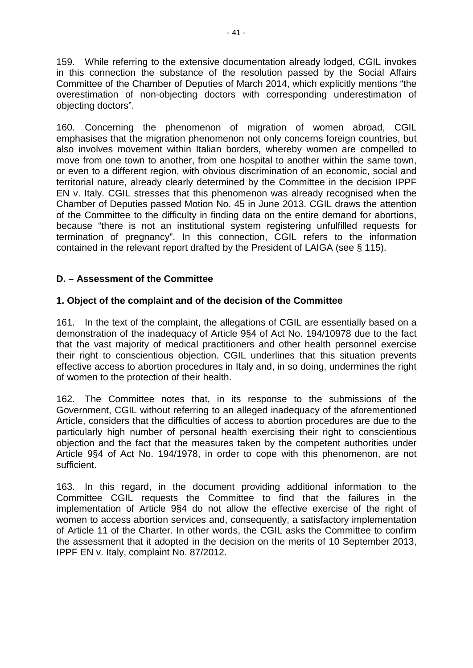159. While referring to the extensive documentation already lodged, CGIL invokes in this connection the substance of the resolution passed by the Social Affairs Committee of the Chamber of Deputies of March 2014, which explicitly mentions "the overestimation of non-objecting doctors with corresponding underestimation of objecting doctors".

160. Concerning the phenomenon of migration of women abroad, CGIL emphasises that the migration phenomenon not only concerns foreign countries, but also involves movement within Italian borders, whereby women are compelled to move from one town to another, from one hospital to another within the same town, or even to a different region, with obvious discrimination of an economic, social and territorial nature, already clearly determined by the Committee in the decision IPPF EN v. Italy. CGIL stresses that this phenomenon was already recognised when the Chamber of Deputies passed Motion No. 45 in June 2013. CGIL draws the attention of the Committee to the difficulty in finding data on the entire demand for abortions, because "there is not an institutional system registering unfulfilled requests for termination of pregnancy". In this connection, CGIL refers to the information contained in the relevant report drafted by the President of LAIGA (see § 115).

# **D. – Assessment of the Committee**

## **1. Object of the complaint and of the decision of the Committee**

161. In the text of the complaint, the allegations of CGIL are essentially based on a demonstration of the inadequacy of Article 9§4 of Act No. 194/10978 due to the fact that the vast majority of medical practitioners and other health personnel exercise their right to conscientious objection. CGIL underlines that this situation prevents effective access to abortion procedures in Italy and, in so doing, undermines the right of women to the protection of their health.

162. The Committee notes that, in its response to the submissions of the Government, CGIL without referring to an alleged inadequacy of the aforementioned Article, considers that the difficulties of access to abortion procedures are due to the particularly high number of personal health exercising their right to conscientious objection and the fact that the measures taken by the competent authorities under Article 9§4 of Act No. 194/1978, in order to cope with this phenomenon, are not sufficient.

163. In this regard, in the document providing additional information to the Committee CGIL requests the Committee to find that the failures in the implementation of Article 9§4 do not allow the effective exercise of the right of women to access abortion services and, consequently, a satisfactory implementation of Article 11 of the Charter. In other words, the CGIL asks the Committee to confirm the assessment that it adopted in the decision on the merits of 10 September 2013, IPPF EN v. Italy, complaint No. 87/2012.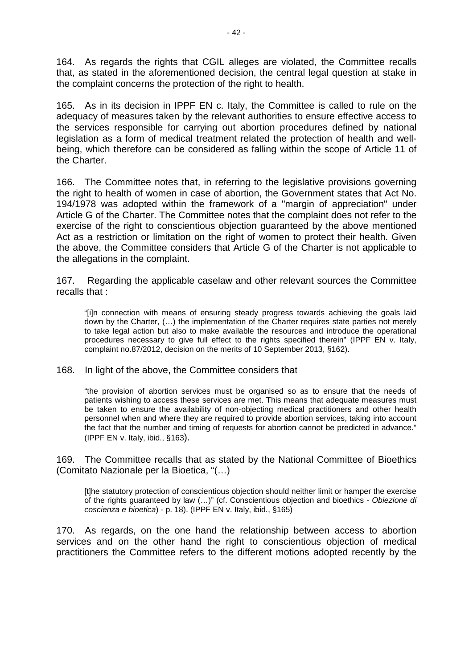164. As regards the rights that CGIL alleges are violated, the Committee recalls that, as stated in the aforementioned decision, the central legal question at stake in the complaint concerns the protection of the right to health.

165. As in its decision in IPPF EN c. Italy, the Committee is called to rule on the adequacy of measures taken by the relevant authorities to ensure effective access to the services responsible for carrying out abortion procedures defined by national legislation as a form of medical treatment related the protection of health and wellbeing, which therefore can be considered as falling within the scope of Article 11 of the Charter.

166. The Committee notes that, in referring to the legislative provisions governing the right to health of women in case of abortion, the Government states that Act No. 194/1978 was adopted within the framework of a "margin of appreciation" under Article G of the Charter. The Committee notes that the complaint does not refer to the exercise of the right to conscientious objection guaranteed by the above mentioned Act as a restriction or limitation on the right of women to protect their health. Given the above, the Committee considers that Article G of the Charter is not applicable to the allegations in the complaint.

167. Regarding the applicable caselaw and other relevant sources the Committee recalls that :

"[i]n connection with means of ensuring steady progress towards achieving the goals laid down by the Charter, (…) the implementation of the Charter requires state parties not merely to take legal action but also to make available the resources and introduce the operational procedures necessary to give full effect to the rights specified therein" (IPPF EN v. Italy, complaint no.87/2012, decision on the merits of 10 September 2013, §162).

168. In light of the above, the Committee considers that

"the provision of abortion services must be organised so as to ensure that the needs of patients wishing to access these services are met. This means that adequate measures must be taken to ensure the availability of non-objecting medical practitioners and other health personnel when and where they are required to provide abortion services, taking into account the fact that the number and timing of requests for abortion cannot be predicted in advance." (IPPF EN v. Italy, ibid., §163).

169. The Committee recalls that as stated by the National Committee of Bioethics (Comitato Nazionale per la Bioetica, "(…)

[t]he statutory protection of conscientious objection should neither limit or hamper the exercise of the rights guaranteed by law (…)" (cf. Conscientious objection and bioethics - *Obiezione di coscienza e bioetica*) - p. 18). (IPPF EN v. Italy, ibid., §165)

170. As regards, on the one hand the relationship between access to abortion services and on the other hand the right to conscientious objection of medical practitioners the Committee refers to the different motions adopted recently by the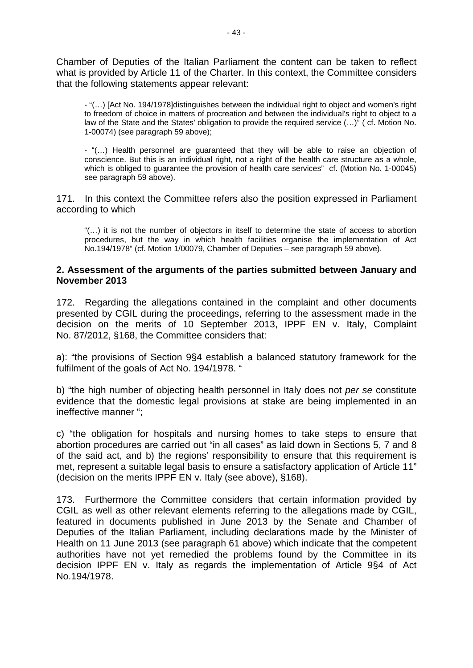Chamber of Deputies of the Italian Parliament the content can be taken to reflect what is provided by Article 11 of the Charter. In this context, the Committee considers that the following statements appear relevant:

- "(…) [Act No. 194/1978]distinguishes between the individual right to object and women's right to freedom of choice in matters of procreation and between the individual's right to object to a law of the State and the States' obligation to provide the required service (…)" ( cf. Motion No. 1-00074) (see paragraph 59 above);

- "(…) Health personnel are guaranteed that they will be able to raise an objection of conscience. But this is an individual right, not a right of the health care structure as a whole, which is obliged to guarantee the provision of health care services" cf. (Motion No. 1-00045) see paragraph 59 above).

171. In this context the Committee refers also the position expressed in Parliament according to which

"(…) it is not the number of objectors in itself to determine the state of access to abortion procedures, but the way in which health facilities organise the implementation of Act No.194/1978" (cf. Motion 1/00079, Chamber of Deputies – see paragraph 59 above).

#### **2. Assessment of the arguments of the parties submitted between January and November 2013**

172. Regarding the allegations contained in the complaint and other documents presented by CGIL during the proceedings, referring to the assessment made in the decision on the merits of 10 September 2013, IPPF EN v. Italy, Complaint No. 87/2012, §168, the Committee considers that:

a): "the provisions of Section 9§4 establish a balanced statutory framework for the fulfilment of the goals of Act No. 194/1978. "

b) "the high number of objecting health personnel in Italy does not *per se* constitute evidence that the domestic legal provisions at stake are being implemented in an ineffective manner ";

c) "the obligation for hospitals and nursing homes to take steps to ensure that abortion procedures are carried out "in all cases" as laid down in Sections 5, 7 and 8 of the said act, and b) the regions' responsibility to ensure that this requirement is met, represent a suitable legal basis to ensure a satisfactory application of Article 11" (decision on the merits IPPF EN v. Italy (see above), §168).

173. Furthermore the Committee considers that certain information provided by CGIL as well as other relevant elements referring to the allegations made by CGIL, featured in documents published in June 2013 by the Senate and Chamber of Deputies of the Italian Parliament, including declarations made by the Minister of Health on 11 June 2013 (see paragraph 61 above) which indicate that the competent authorities have not yet remedied the problems found by the Committee in its decision IPPF EN v. Italy as regards the implementation of Article 9§4 of Act No.194/1978.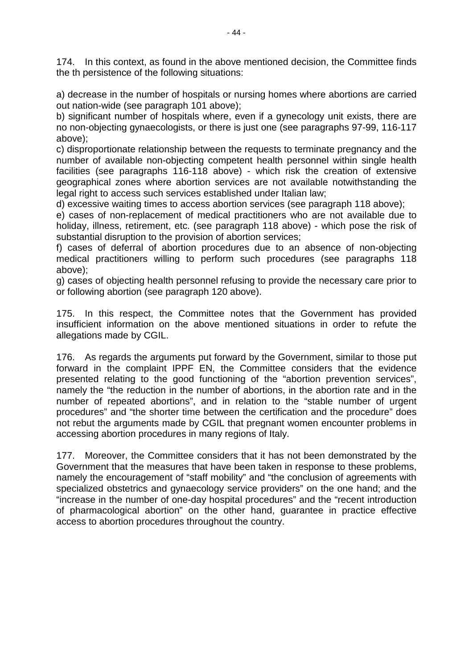174. In this context, as found in the above mentioned decision, the Committee finds the th persistence of the following situations:

a) decrease in the number of hospitals or nursing homes where abortions are carried out nation-wide (see paragraph 101 above);

b) significant number of hospitals where, even if a gynecology unit exists, there are no non-objecting gynaecologists, or there is just one (see paragraphs 97-99, 116-117 above);

c) disproportionate relationship between the requests to terminate pregnancy and the number of available non-objecting competent health personnel within single health facilities (see paragraphs 116-118 above) - which risk the creation of extensive geographical zones where abortion services are not available notwithstanding the legal right to access such services established under Italian law;

d) excessive waiting times to access abortion services (see paragraph 118 above);

e) cases of non-replacement of medical practitioners who are not available due to holiday, illness, retirement, etc. (see paragraph 118 above) - which pose the risk of substantial disruption to the provision of abortion services;

f) cases of deferral of abortion procedures due to an absence of non-objecting medical practitioners willing to perform such procedures (see paragraphs 118 above);

g) cases of objecting health personnel refusing to provide the necessary care prior to or following abortion (see paragraph 120 above).

175. In this respect, the Committee notes that the Government has provided insufficient information on the above mentioned situations in order to refute the allegations made by CGIL.

176. As regards the arguments put forward by the Government, similar to those put forward in the complaint IPPF EN, the Committee considers that the evidence presented relating to the good functioning of the "abortion prevention services", namely the "the reduction in the number of abortions, in the abortion rate and in the number of repeated abortions", and in relation to the "stable number of urgent procedures" and "the shorter time between the certification and the procedure" does not rebut the arguments made by CGIL that pregnant women encounter problems in accessing abortion procedures in many regions of Italy.

177. Moreover, the Committee considers that it has not been demonstrated by the Government that the measures that have been taken in response to these problems, namely the encouragement of "staff mobility" and "the conclusion of agreements with specialized obstetrics and gynaecology service providers" on the one hand; and the "increase in the number of one-day hospital procedures" and the "recent introduction of pharmacological abortion" on the other hand, guarantee in practice effective access to abortion procedures throughout the country.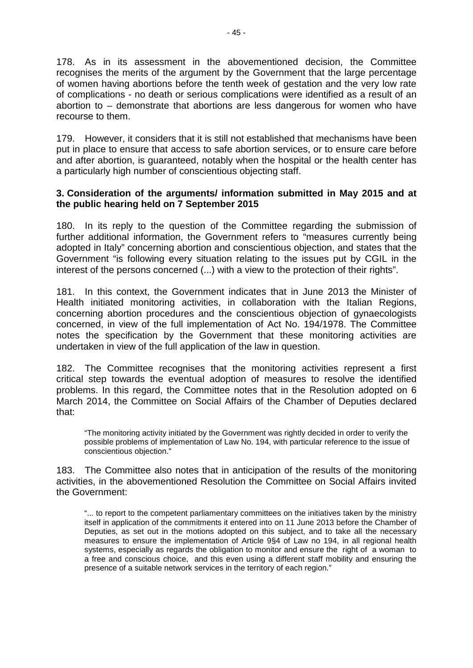178. As in its assessment in the abovementioned decision, the Committee recognises the merits of the argument by the Government that the large percentage of women having abortions before the tenth week of gestation and the very low rate of complications - no death or serious complications were identified as a result of an abortion to – demonstrate that abortions are less dangerous for women who have recourse to them.

179. However, it considers that it is still not established that mechanisms have been put in place to ensure that access to safe abortion services, or to ensure care before and after abortion, is guaranteed, notably when the hospital or the health center has a particularly high number of conscientious objecting staff.

## **3. Consideration of the arguments/ information submitted in May 2015 and at the public hearing held on 7 September 2015**

180. In its reply to the question of the Committee regarding the submission of further additional information, the Government refers to "measures currently being adopted in Italy" concerning abortion and conscientious objection, and states that the Government "is following every situation relating to the issues put by CGIL in the interest of the persons concerned (...) with a view to the protection of their rights".

181. In this context, the Government indicates that in June 2013 the Minister of Health initiated monitoring activities, in collaboration with the Italian Regions, concerning abortion procedures and the conscientious objection of gynaecologists concerned, in view of the full implementation of Act No. 194/1978. The Committee notes the specification by the Government that these monitoring activities are undertaken in view of the full application of the law in question.

182. The Committee recognises that the monitoring activities represent a first critical step towards the eventual adoption of measures to resolve the identified problems. In this regard, the Committee notes that in the Resolution adopted on 6 March 2014, the Committee on Social Affairs of the Chamber of Deputies declared that:

"The monitoring activity initiated by the Government was rightly decided in order to verify the possible problems of implementation of Law No. 194, with particular reference to the issue of conscientious objection."

183. The Committee also notes that in anticipation of the results of the monitoring activities, in the abovementioned Resolution the Committee on Social Affairs invited the Government:

"... to report to the competent parliamentary committees on the initiatives taken by the ministry itself in application of the commitments it entered into on 11 June 2013 before the Chamber of Deputies, as set out in the motions adopted on this subject, and to take all the necessary measures to ensure the implementation of Article 9§4 of Law no 194, in all regional health systems, especially as regards the obligation to monitor and ensure the right of a woman to a free and conscious choice, and this even using a different staff mobility and ensuring the presence of a suitable network services in the territory of each region."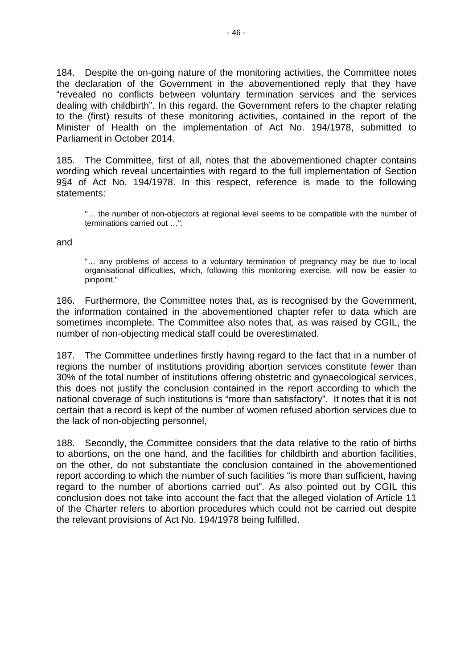184. Despite the on-going nature of the monitoring activities, the Committee notes the declaration of the Government in the abovementioned reply that they have "revealed no conflicts between voluntary termination services and the services dealing with childbirth". In this regard, the Government refers to the chapter relating to the (first) results of these monitoring activities, contained in the report of the Minister of Health on the implementation of Act No. 194/1978, submitted to Parliament in October 2014.

185. The Committee, first of all, notes that the abovementioned chapter contains wording which reveal uncertainties with regard to the full implementation of Section 9§4 of Act No. 194/1978. In this respect, reference is made to the following statements:

"… the number of non-objectors at regional level seems to be compatible with the number of terminations carried out …";

and

"… any problems of access to a voluntary termination of pregnancy may be due to local organisational difficulties, which, following this monitoring exercise, will now be easier to pinpoint."

186. Furthermore, the Committee notes that, as is recognised by the Government, the information contained in the abovementioned chapter refer to data which are sometimes incomplete. The Committee also notes that, as was raised by CGIL, the number of non-objecting medical staff could be overestimated.

187. The Committee underlines firstly having regard to the fact that in a number of regions the number of institutions providing abortion services constitute fewer than 30% of the total number of institutions offering obstetric and gynaecological services, this does not justify the conclusion contained in the report according to which the national coverage of such institutions is "more than satisfactory". It notes that it is not certain that a record is kept of the number of women refused abortion services due to the lack of non-objecting personnel,

188. Secondly, the Committee considers that the data relative to the ratio of births to abortions, on the one hand, and the facilities for childbirth and abortion facilities, on the other, do not substantiate the conclusion contained in the abovementioned report according to which the number of such facilities "is more than sufficient, having regard to the number of abortions carried out". As also pointed out by CGIL this conclusion does not take into account the fact that the alleged violation of Article 11 of the Charter refers to abortion procedures which could not be carried out despite the relevant provisions of Act No. 194/1978 being fulfilled.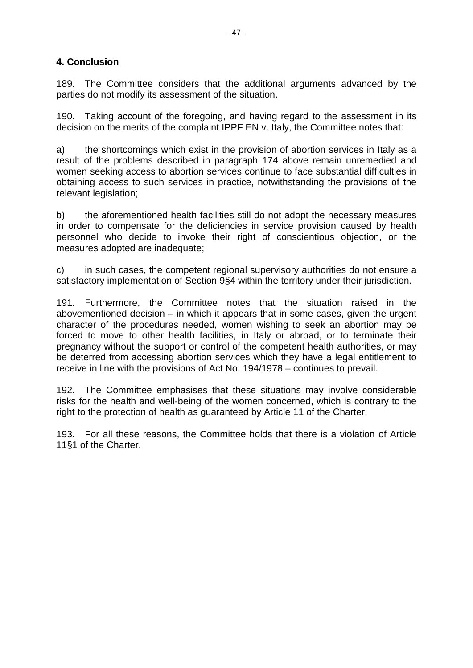# **4. Conclusion**

189. The Committee considers that the additional arguments advanced by the parties do not modify its assessment of the situation.

190. Taking account of the foregoing, and having regard to the assessment in its decision on the merits of the complaint IPPF EN v. Italy, the Committee notes that:

a) the shortcomings which exist in the provision of abortion services in Italy as a result of the problems described in paragraph 174 above remain unremedied and women seeking access to abortion services continue to face substantial difficulties in obtaining access to such services in practice, notwithstanding the provisions of the relevant legislation;

b) the aforementioned health facilities still do not adopt the necessary measures in order to compensate for the deficiencies in service provision caused by health personnel who decide to invoke their right of conscientious objection, or the measures adopted are inadequate;

c) in such cases, the competent regional supervisory authorities do not ensure a satisfactory implementation of Section 9§4 within the territory under their jurisdiction.

191. Furthermore, the Committee notes that the situation raised in the abovementioned decision – in which it appears that in some cases, given the urgent character of the procedures needed, women wishing to seek an abortion may be forced to move to other health facilities, in Italy or abroad, or to terminate their pregnancy without the support or control of the competent health authorities, or may be deterred from accessing abortion services which they have a legal entitlement to receive in line with the provisions of Act No. 194/1978 – continues to prevail.

192. The Committee emphasises that these situations may involve considerable risks for the health and well-being of the women concerned, which is contrary to the right to the protection of health as guaranteed by Article 11 of the Charter.

193. For all these reasons, the Committee holds that there is a violation of Article 11§1 of the Charter.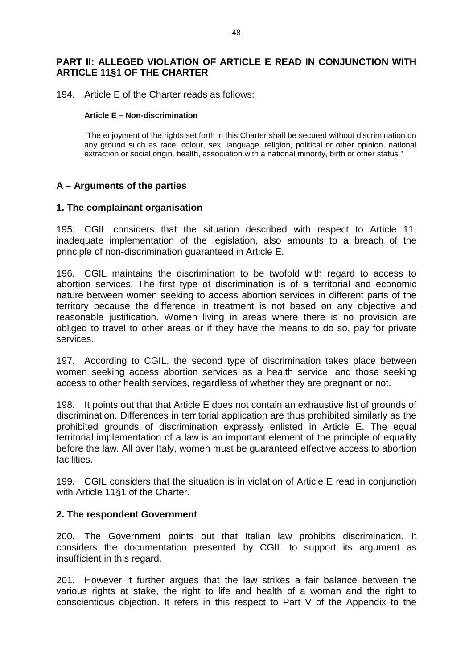## **PART II: ALLEGED VIOLATION OF ARTICLE E READ IN CONJUNCTION WITH ARTICLE 11§1 OF THE CHARTER**

194. Article E of the Charter reads as follows:

#### **Article E – Non-discrimination**

"The enjoyment of the rights set forth in this Charter shall be secured without discrimination on any ground such as race, colour, sex, language, religion, political or other opinion, national extraction or social origin, health, association with a national minority, birth or other status."

## **A – Arguments of the parties**

#### **1. The complainant organisation**

195. CGIL considers that the situation described with respect to Article 11; inadequate implementation of the legislation, also amounts to a breach of the principle of non-discrimination guaranteed in Article E.

196. CGIL maintains the discrimination to be twofold with regard to access to abortion services. The first type of discrimination is of a territorial and economic nature between women seeking to access abortion services in different parts of the territory because the difference in treatment is not based on any objective and reasonable justification. Women living in areas where there is no provision are obliged to travel to other areas or if they have the means to do so, pay for private services.

197. According to CGIL, the second type of discrimination takes place between women seeking access abortion services as a health service, and those seeking access to other health services, regardless of whether they are pregnant or not.

198. It points out that that Article E does not contain an exhaustive list of grounds of discrimination. Differences in territorial application are thus prohibited similarly as the prohibited grounds of discrimination expressly enlisted in Article E. The equal territorial implementation of a law is an important element of the principle of equality before the law. All over Italy, women must be guaranteed effective access to abortion facilities.

199. CGIL considers that the situation is in violation of Article E read in conjunction with Article 11§1 of the Charter.

#### **2. The respondent Government**

200. The Government points out that Italian law prohibits discrimination. It considers the documentation presented by CGIL to support its argument as insufficient in this regard.

201. However it further argues that the law strikes a fair balance between the various rights at stake, the right to life and health of a woman and the right to conscientious objection. It refers in this respect to Part V of the Appendix to the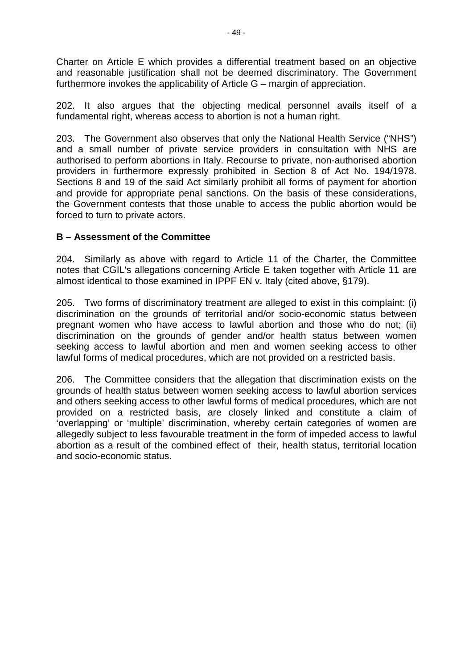Charter on Article E which provides a differential treatment based on an objective and reasonable justification shall not be deemed discriminatory. The Government furthermore invokes the applicability of Article G – margin of appreciation.

202. It also argues that the objecting medical personnel avails itself of a fundamental right, whereas access to abortion is not a human right.

203. The Government also observes that only the National Health Service ("NHS") and a small number of private service providers in consultation with NHS are authorised to perform abortions in Italy. Recourse to private, non-authorised abortion providers in furthermore expressly prohibited in Section 8 of Act No. 194/1978. Sections 8 and 19 of the said Act similarly prohibit all forms of payment for abortion and provide for appropriate penal sanctions. On the basis of these considerations, the Government contests that those unable to access the public abortion would be forced to turn to private actors.

## **B – Assessment of the Committee**

204. Similarly as above with regard to Article 11 of the Charter, the Committee notes that CGIL's allegations concerning Article E taken together with Article 11 are almost identical to those examined in IPPF EN v. Italy (cited above, §179).

205. Two forms of discriminatory treatment are alleged to exist in this complaint: (i) discrimination on the grounds of territorial and/or socio-economic status between pregnant women who have access to lawful abortion and those who do not; (ii) discrimination on the grounds of gender and/or health status between women seeking access to lawful abortion and men and women seeking access to other lawful forms of medical procedures, which are not provided on a restricted basis.

206. The Committee considers that the allegation that discrimination exists on the grounds of health status between women seeking access to lawful abortion services and others seeking access to other lawful forms of medical procedures, which are not provided on a restricted basis, are closely linked and constitute a claim of 'overlapping' or 'multiple' discrimination, whereby certain categories of women are allegedly subject to less favourable treatment in the form of impeded access to lawful abortion as a result of the combined effect of their, health status, territorial location and socio-economic status.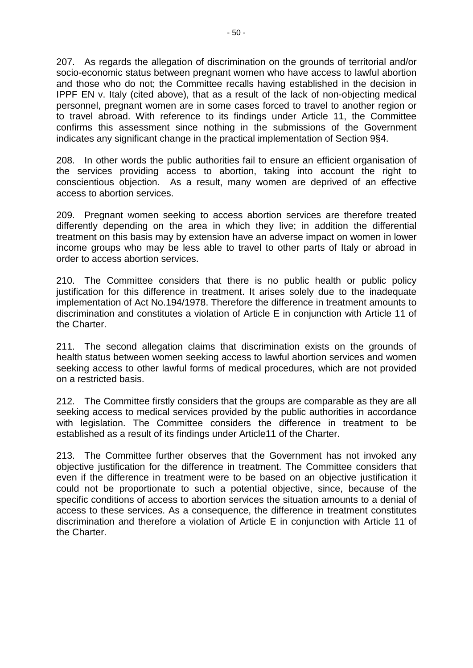207. As regards the allegation of discrimination on the grounds of territorial and/or socio-economic status between pregnant women who have access to lawful abortion and those who do not; the Committee recalls having established in the decision in IPPF EN v. Italy (cited above), that as a result of the lack of non-objecting medical personnel, pregnant women are in some cases forced to travel to another region or to travel abroad. With reference to its findings under Article 11, the Committee confirms this assessment since nothing in the submissions of the Government indicates any significant change in the practical implementation of Section 9§4.

208. In other words the public authorities fail to ensure an efficient organisation of the services providing access to abortion, taking into account the right to conscientious objection. As a result, many women are deprived of an effective access to abortion services.

209. Pregnant women seeking to access abortion services are therefore treated differently depending on the area in which they live; in addition the differential treatment on this basis may by extension have an adverse impact on women in lower income groups who may be less able to travel to other parts of Italy or abroad in order to access abortion services.

210. The Committee considers that there is no public health or public policy justification for this difference in treatment. It arises solely due to the inadequate implementation of Act No.194/1978. Therefore the difference in treatment amounts to discrimination and constitutes a violation of Article E in conjunction with Article 11 of the Charter.

211. The second allegation claims that discrimination exists on the grounds of health status between women seeking access to lawful abortion services and women seeking access to other lawful forms of medical procedures, which are not provided on a restricted basis.

212. The Committee firstly considers that the groups are comparable as they are all seeking access to medical services provided by the public authorities in accordance with legislation. The Committee considers the difference in treatment to be established as a result of its findings under Article11 of the Charter.

213. The Committee further observes that the Government has not invoked any objective justification for the difference in treatment. The Committee considers that even if the difference in treatment were to be based on an objective justification it could not be proportionate to such a potential objective, since, because of the specific conditions of access to abortion services the situation amounts to a denial of access to these services. As a consequence, the difference in treatment constitutes discrimination and therefore a violation of Article E in conjunction with Article 11 of the Charter.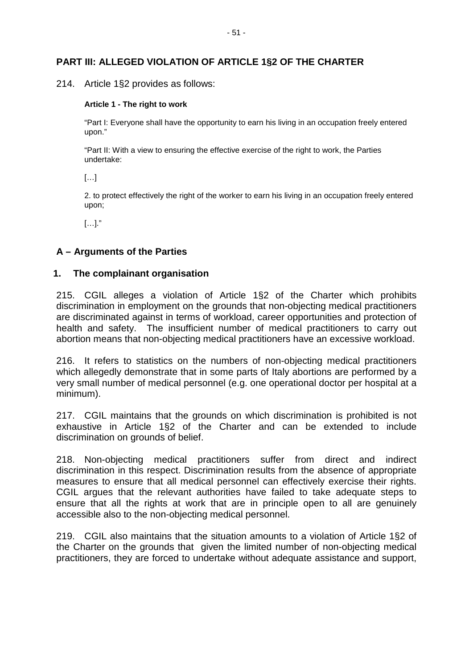## **PART III: ALLEGED VIOLATION OF ARTICLE 1§2 OF THE CHARTER**

214. Article 1§2 provides as follows:

#### **Article 1 - The right to work**

"Part I: Everyone shall have the opportunity to earn his living in an occupation freely entered upon."

"Part II: With a view to ensuring the effective exercise of the right to work, the Parties undertake:

[…]

2. to protect effectively the right of the worker to earn his living in an occupation freely entered upon;

 $[\ldots]$ ."

#### **A – Arguments of the Parties**

#### **1. The complainant organisation**

215. CGIL alleges a violation of Article 1§2 of the Charter which prohibits discrimination in employment on the grounds that non-objecting medical practitioners are discriminated against in terms of workload, career opportunities and protection of health and safety. The insufficient number of medical practitioners to carry out abortion means that non-objecting medical practitioners have an excessive workload.

216. It refers to statistics on the numbers of non-objecting medical practitioners which allegedly demonstrate that in some parts of Italy abortions are performed by a very small number of medical personnel (e.g. one operational doctor per hospital at a minimum).

217. CGIL maintains that the grounds on which discrimination is prohibited is not exhaustive in Article 1§2 of the Charter and can be extended to include discrimination on grounds of belief.

218. Non-objecting medical practitioners suffer from direct and indirect discrimination in this respect. Discrimination results from the absence of appropriate measures to ensure that all medical personnel can effectively exercise their rights. CGIL argues that the relevant authorities have failed to take adequate steps to ensure that all the rights at work that are in principle open to all are genuinely accessible also to the non-objecting medical personnel.

219. CGIL also maintains that the situation amounts to a violation of Article 1§2 of the Charter on the grounds that given the limited number of non-objecting medical practitioners, they are forced to undertake without adequate assistance and support,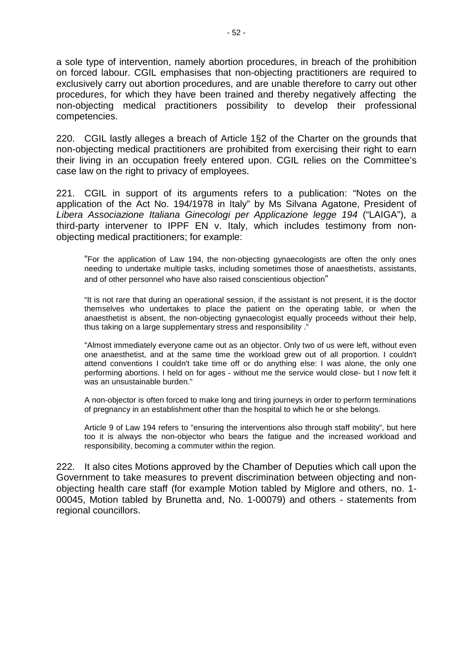a sole type of intervention, namely abortion procedures, in breach of the prohibition on forced labour. CGIL emphasises that non-objecting practitioners are required to exclusively carry out abortion procedures, and are unable therefore to carry out other procedures, for which they have been trained and thereby negatively affecting the non-objecting medical practitioners possibility to develop their professional competencies.

220. CGIL lastly alleges a breach of Article 1§2 of the Charter on the grounds that non-objecting medical practitioners are prohibited from exercising their right to earn their living in an occupation freely entered upon. CGIL relies on the Committee's case law on the right to privacy of employees.

221. CGIL in support of its arguments refers to a publication: "Notes on the application of the Act No. 194/1978 in Italy" by Ms Silvana Agatone, President of *Libera Associazione Italiana Ginecologi per Applicazione legge 194* ("LAIGA"), a third-party intervener to IPPF EN v. Italy, which includes testimony from nonobjecting medical practitioners; for example:

"For the application of Law 194, the non-objecting gynaecologists are often the only ones needing to undertake multiple tasks, including sometimes those of anaesthetists, assistants, and of other personnel who have also raised conscientious objection"

"It is not rare that during an operational session, if the assistant is not present, it is the doctor themselves who undertakes to place the patient on the operating table, or when the anaesthetist is absent, the non-objecting gynaecologist equally proceeds without their help, thus taking on a large supplementary stress and responsibility ."

"Almost immediately everyone came out as an objector. Only two of us were left, without even one anaesthetist, and at the same time the workload grew out of all proportion. I couldn't attend conventions I couldn't take time off or do anything else: I was alone, the only one performing abortions. I held on for ages - without me the service would close- but I now felt it was an unsustainable burden."

A non-objector is often forced to make long and tiring journeys in order to perform terminations of pregnancy in an establishment other than the hospital to which he or she belongs.

Article 9 of Law 194 refers to "ensuring the interventions also through staff mobility", but here too it is always the non-objector who bears the fatigue and the increased workload and responsibility, becoming a commuter within the region.

222. It also cites Motions approved by the Chamber of Deputies which call upon the Government to take measures to prevent discrimination between objecting and nonobjecting health care staff (for example Motion tabled by Miglore and others, no. 1- 00045, Motion tabled by Brunetta and, No. 1-00079) and others - statements from regional councillors.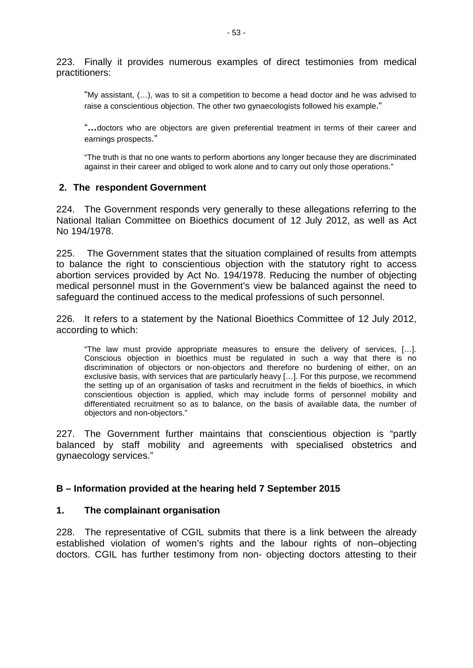223. Finally it provides numerous examples of direct testimonies from medical practitioners:

"My assistant, (…), was to sit a competition to become a head doctor and he was advised to raise a conscientious objection. The other two gynaecologists followed his example."

"**…**doctors who are objectors are given preferential treatment in terms of their career and earnings prospects."

"The truth is that no one wants to perform abortions any longer because they are discriminated against in their career and obliged to work alone and to carry out only those operations."

## **2. The respondent Government**

224. The Government responds very generally to these allegations referring to the National Italian Committee on Bioethics document of 12 July 2012, as well as Act No 194/1978.

225. The Government states that the situation complained of results from attempts to balance the right to conscientious objection with the statutory right to access abortion services provided by Act No. 194/1978. Reducing the number of objecting medical personnel must in the Government's view be balanced against the need to safeguard the continued access to the medical professions of such personnel.

226. It refers to a statement by the National Bioethics Committee of 12 July 2012, according to which:

"The law must provide appropriate measures to ensure the delivery of services, […]. Conscious objection in bioethics must be regulated in such a way that there is no discrimination of objectors or non-objectors and therefore no burdening of either, on an exclusive basis, with services that are particularly heavy […]. For this purpose, we recommend the setting up of an organisation of tasks and recruitment in the fields of bioethics, in which conscientious objection is applied, which may include forms of personnel mobility and differentiated recruitment so as to balance, on the basis of available data, the number of objectors and non-objectors."

227. The Government further maintains that conscientious objection is "partly balanced by staff mobility and agreements with specialised obstetrics and gynaecology services."

## **B – Information provided at the hearing held 7 September 2015**

## **1. The complainant organisation**

228. The representative of CGIL submits that there is a link between the already established violation of women's rights and the labour rights of non–objecting doctors. CGIL has further testimony from non- objecting doctors attesting to their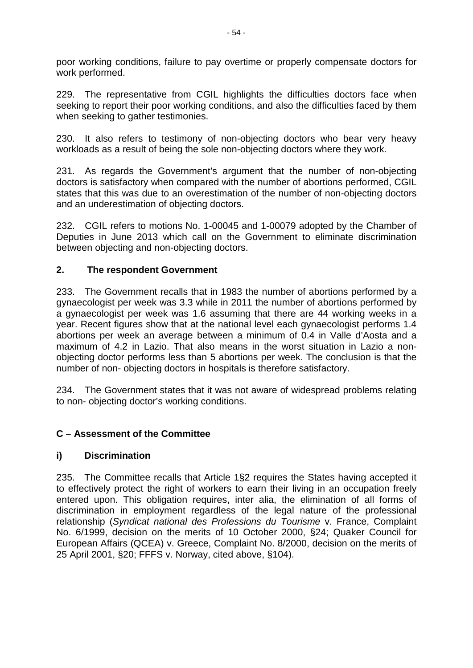poor working conditions, failure to pay overtime or properly compensate doctors for work performed.

229. The representative from CGIL highlights the difficulties doctors face when seeking to report their poor working conditions, and also the difficulties faced by them when seeking to gather testimonies.

230. It also refers to testimony of non-objecting doctors who bear very heavy workloads as a result of being the sole non-objecting doctors where they work.

231. As regards the Government's argument that the number of non-objecting doctors is satisfactory when compared with the number of abortions performed, CGIL states that this was due to an overestimation of the number of non-objecting doctors and an underestimation of objecting doctors.

232. CGIL refers to motions No. 1-00045 and 1-00079 adopted by the Chamber of Deputies in June 2013 which call on the Government to eliminate discrimination between objecting and non-objecting doctors.

## **2. The respondent Government**

233. The Government recalls that in 1983 the number of abortions performed by a gynaecologist per week was 3.3 while in 2011 the number of abortions performed by a gynaecologist per week was 1.6 assuming that there are 44 working weeks in a year. Recent figures show that at the national level each gynaecologist performs 1.4 abortions per week an average between a minimum of 0.4 in Valle d'Aosta and a maximum of 4.2 in Lazio. That also means in the worst situation in Lazio a nonobjecting doctor performs less than 5 abortions per week. The conclusion is that the number of non- objecting doctors in hospitals is therefore satisfactory.

234. The Government states that it was not aware of widespread problems relating to non- objecting doctor's working conditions.

# **C – Assessment of the Committee**

## **i) Discrimination**

235. The Committee recalls that Article 1§2 requires the States having accepted it to effectively protect the right of workers to earn their living in an occupation freely entered upon. This obligation requires, inter alia, the elimination of all forms of discrimination in employment regardless of the legal nature of the professional relationship (*Syndicat national des Professions du Tourisme* v. France, Complaint No. 6/1999, decision on the merits of 10 October 2000, §24; Quaker Council for European Affairs (QCEA) v. Greece, Complaint No. 8/2000, decision on the merits of 25 April 2001, §20; FFFS v. Norway, cited above, §104).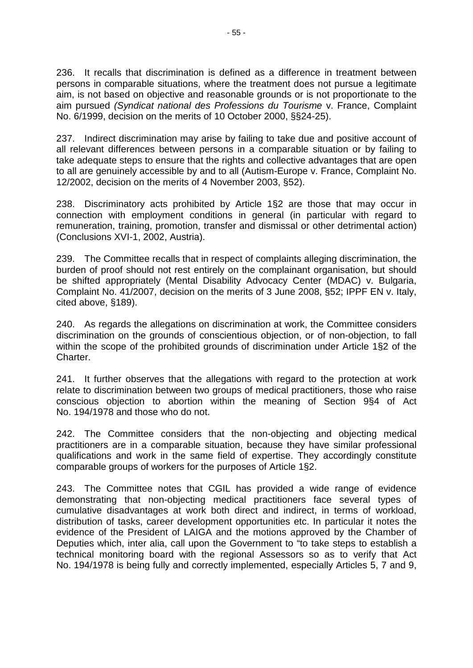236. It recalls that discrimination is defined as a difference in treatment between persons in comparable situations, where the treatment does not pursue a legitimate aim, is not based on objective and reasonable grounds or is not proportionate to the aim pursued *(Syndicat national des Professions du Tourisme* v. France, Complaint No. 6/1999, decision on the merits of 10 October 2000, §§24-25).

237. Indirect discrimination may arise by failing to take due and positive account of all relevant differences between persons in a comparable situation or by failing to take adequate steps to ensure that the rights and collective advantages that are open to all are genuinely accessible by and to all (Autism-Europe v. France, Complaint No. 12/2002, decision on the merits of 4 November 2003, §52).

238. Discriminatory acts prohibited by Article 1§2 are those that may occur in connection with employment conditions in general (in particular with regard to remuneration, training, promotion, transfer and dismissal or other detrimental action) (Conclusions XVI-1, 2002, Austria).

239. The Committee recalls that in respect of complaints alleging discrimination, the burden of proof should not rest entirely on the complainant organisation, but should be shifted appropriately (Mental Disability Advocacy Center (MDAC) v. Bulgaria, Complaint No. 41/2007, decision on the merits of 3 June 2008, §52; IPPF EN v. Italy, cited above, §189).

240. As regards the allegations on discrimination at work, the Committee considers discrimination on the grounds of conscientious objection, or of non-objection, to fall within the scope of the prohibited grounds of discrimination under Article 1§2 of the Charter.

241. It further observes that the allegations with regard to the protection at work relate to discrimination between two groups of medical practitioners, those who raise conscious objection to abortion within the meaning of Section 9§4 of Act No. 194/1978 and those who do not.

242. The Committee considers that the non-objecting and objecting medical practitioners are in a comparable situation, because they have similar professional qualifications and work in the same field of expertise. They accordingly constitute comparable groups of workers for the purposes of Article 1§2.

243. The Committee notes that CGIL has provided a wide range of evidence demonstrating that non-objecting medical practitioners face several types of cumulative disadvantages at work both direct and indirect, in terms of workload, distribution of tasks, career development opportunities etc. In particular it notes the evidence of the President of LAIGA and the motions approved by the Chamber of Deputies which, inter alia, call upon the Government to "to take steps to establish a technical monitoring board with the regional Assessors so as to verify that Act No. 194/1978 is being fully and correctly implemented, especially Articles 5, 7 and 9,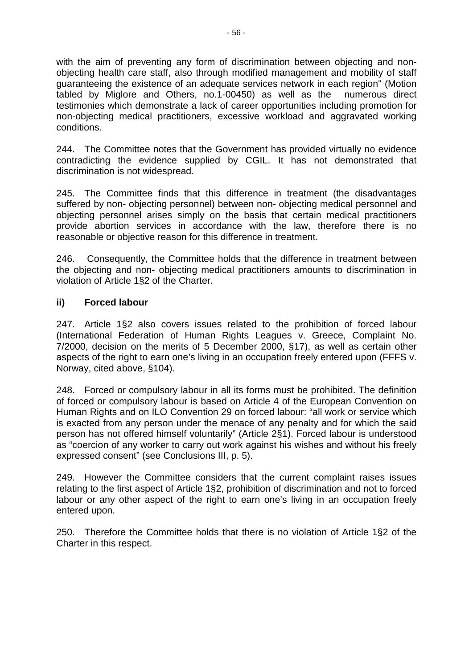with the aim of preventing any form of discrimination between objecting and nonobjecting health care staff, also through modified management and mobility of staff guaranteeing the existence of an adequate services network in each region" (Motion tabled by Miglore and Others, no.1-00450) as well as the testimonies which demonstrate a lack of career opportunities including promotion for non-objecting medical practitioners, excessive workload and aggravated working conditions.

244. The Committee notes that the Government has provided virtually no evidence contradicting the evidence supplied by CGIL. It has not demonstrated that discrimination is not widespread.

245. The Committee finds that this difference in treatment (the disadvantages suffered by non- objecting personnel) between non- objecting medical personnel and objecting personnel arises simply on the basis that certain medical practitioners provide abortion services in accordance with the law, therefore there is no reasonable or objective reason for this difference in treatment.

246. Consequently, the Committee holds that the difference in treatment between the objecting and non- objecting medical practitioners amounts to discrimination in violation of Article 1§2 of the Charter.

## **ii) Forced labour**

247. Article 1§2 also covers issues related to the prohibition of forced labour (International Federation of Human Rights Leagues v. Greece, Complaint No. 7/2000, decision on the merits of 5 December 2000, §17), as well as certain other aspects of the right to earn one's living in an occupation freely entered upon (FFFS v. Norway, cited above, §104).

248. Forced or compulsory labour in all its forms must be prohibited. The definition of forced or compulsory labour is based on Article 4 of the European Convention on Human Rights and on ILO Convention 29 on forced labour: "all work or service which is exacted from any person under the menace of any penalty and for which the said person has not offered himself voluntarily" (Article 2§1). Forced labour is understood as "coercion of any worker to carry out work against his wishes and without his freely expressed consent" (see Conclusions III, p. 5).

249. However the Committee considers that the current complaint raises issues relating to the first aspect of Article 1§2, prohibition of discrimination and not to forced labour or any other aspect of the right to earn one's living in an occupation freely entered upon.

250. Therefore the Committee holds that there is no violation of Article 1§2 of the Charter in this respect.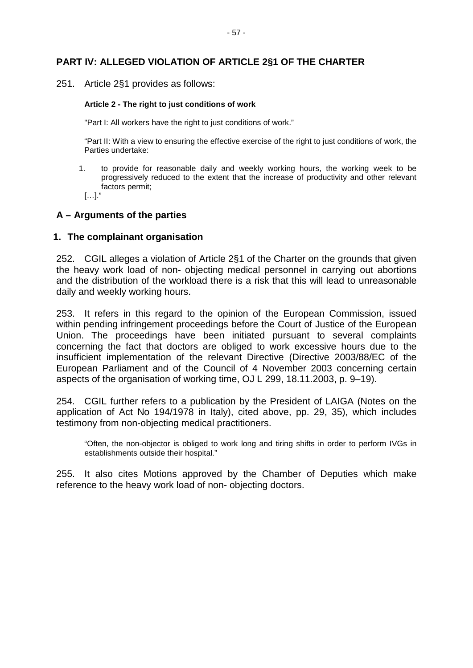## **PART IV: ALLEGED VIOLATION OF ARTICLE 2§1 OF THE CHARTER**

251. Article 2§1 provides as follows:

#### **Article 2 - The right to just conditions of work**

"Part I: All workers have the right to just conditions of work."

"Part II: With a view to ensuring the effective exercise of the right to just conditions of work, the Parties undertake:

1. to provide for reasonable daily and weekly working hours, the working week to be progressively reduced to the extent that the increase of productivity and other relevant factors permit;

[…]."

#### **A – Arguments of the parties**

#### **1. The complainant organisation**

252. CGIL alleges a violation of Article 2§1 of the Charter on the grounds that given the heavy work load of non- objecting medical personnel in carrying out abortions and the distribution of the workload there is a risk that this will lead to unreasonable daily and weekly working hours.

253. It refers in this regard to the opinion of the European Commission, issued within pending infringement proceedings before the Court of Justice of the European Union. The proceedings have been initiated pursuant to several complaints concerning the fact that doctors are obliged to work excessive hours due to the insufficient implementation of the relevant Directive (Directive 2003/88/EC of the European Parliament and of the Council of 4 November 2003 concerning certain aspects of the organisation of working time, OJ L 299, 18.11.2003, p. 9–19).

254. CGIL further refers to a publication by the President of LAIGA (Notes on the application of Act No 194/1978 in Italy), cited above, pp. 29, 35), which includes testimony from non-objecting medical practitioners.

"Often, the non-objector is obliged to work long and tiring shifts in order to perform IVGs in establishments outside their hospital."

255. It also cites Motions approved by the Chamber of Deputies which make reference to the heavy work load of non- objecting doctors.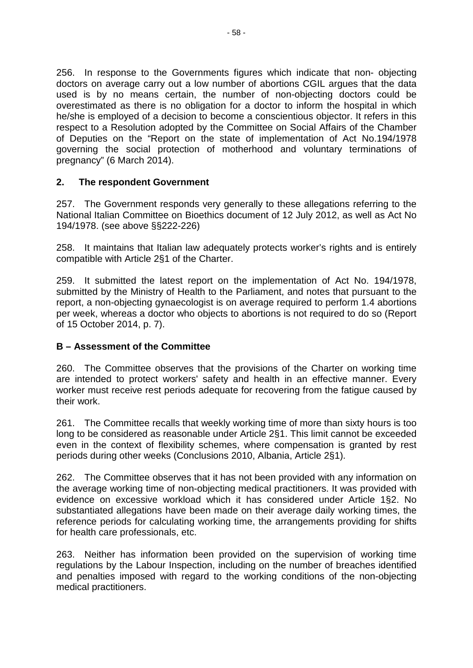256. In response to the Governments figures which indicate that non- objecting doctors on average carry out a low number of abortions CGIL argues that the data used is by no means certain, the number of non-objecting doctors could be overestimated as there is no obligation for a doctor to inform the hospital in which he/she is employed of a decision to become a conscientious objector. It refers in this respect to a Resolution adopted by the Committee on Social Affairs of the Chamber of Deputies on the "Report on the state of implementation of Act No.194/1978 governing the social protection of motherhood and voluntary terminations of pregnancy" (6 March 2014).

# **2. The respondent Government**

257. The Government responds very generally to these allegations referring to the National Italian Committee on Bioethics document of 12 July 2012, as well as Act No 194/1978. (see above §§222-226)

258. It maintains that Italian law adequately protects worker's rights and is entirely compatible with Article 2§1 of the Charter.

259. It submitted the latest report on the implementation of Act No. 194/1978, submitted by the Ministry of Health to the Parliament, and notes that pursuant to the report, a non-objecting gynaecologist is on average required to perform 1.4 abortions per week, whereas a doctor who objects to abortions is not required to do so (Report of 15 October 2014, p. 7).

# **B – Assessment of the Committee**

260. The Committee observes that the provisions of the Charter on working time are intended to protect workers' safety and health in an effective manner. Every worker must receive rest periods adequate for recovering from the fatigue caused by their work.

261. The Committee recalls that weekly working time of more than sixty hours is too long to be considered as reasonable under Article 2§1. This limit cannot be exceeded even in the context of flexibility schemes, where compensation is granted by rest periods during other weeks (Conclusions 2010, Albania, Article 2§1).

262. The Committee observes that it has not been provided with any information on the average working time of non-objecting medical practitioners. It was provided with evidence on excessive workload which it has considered under Article 1§2. No substantiated allegations have been made on their average daily working times, the reference periods for calculating working time, the arrangements providing for shifts for health care professionals, etc.

263. Neither has information been provided on the supervision of working time regulations by the Labour Inspection, including on the number of breaches identified and penalties imposed with regard to the working conditions of the non-objecting medical practitioners.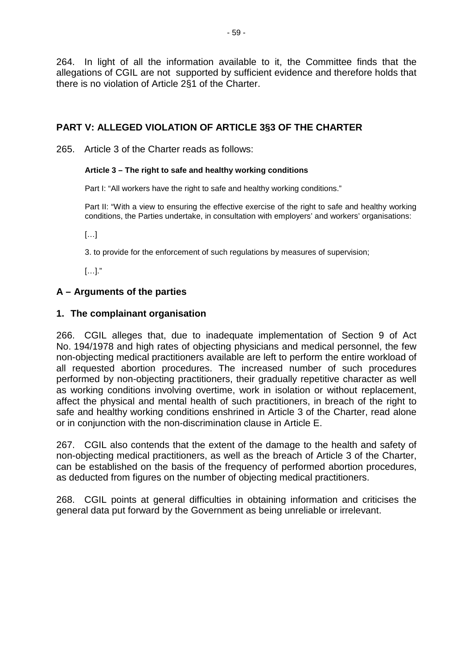264. In light of all the information available to it, the Committee finds that the allegations of CGIL are not supported by sufficient evidence and therefore holds that there is no violation of Article 2§1 of the Charter.

# **PART V: ALLEGED VIOLATION OF ARTICLE 3§3 OF THE CHARTER**

265. Article 3 of the Charter reads as follows:

#### **Article 3 – The right to safe and healthy working conditions**

Part I: "All workers have the right to safe and healthy working conditions."

Part II: "With a view to ensuring the effective exercise of the right to safe and healthy working conditions, the Parties undertake, in consultation with employers' and workers' organisations:

 $[\ldots]$ 

3. to provide for the enforcement of such regulations by measures of supervision;

[…]."

## **A – Arguments of the parties**

## **1. The complainant organisation**

266. CGIL alleges that, due to inadequate implementation of Section 9 of Act No. 194/1978 and high rates of objecting physicians and medical personnel, the few non-objecting medical practitioners available are left to perform the entire workload of all requested abortion procedures. The increased number of such procedures performed by non-objecting practitioners, their gradually repetitive character as well as working conditions involving overtime, work in isolation or without replacement, affect the physical and mental health of such practitioners, in breach of the right to safe and healthy working conditions enshrined in Article 3 of the Charter, read alone or in conjunction with the non-discrimination clause in Article E.

267. CGIL also contends that the extent of the damage to the health and safety of non-objecting medical practitioners, as well as the breach of Article 3 of the Charter, can be established on the basis of the frequency of performed abortion procedures, as deducted from figures on the number of objecting medical practitioners.

268. CGIL points at general difficulties in obtaining information and criticises the general data put forward by the Government as being unreliable or irrelevant.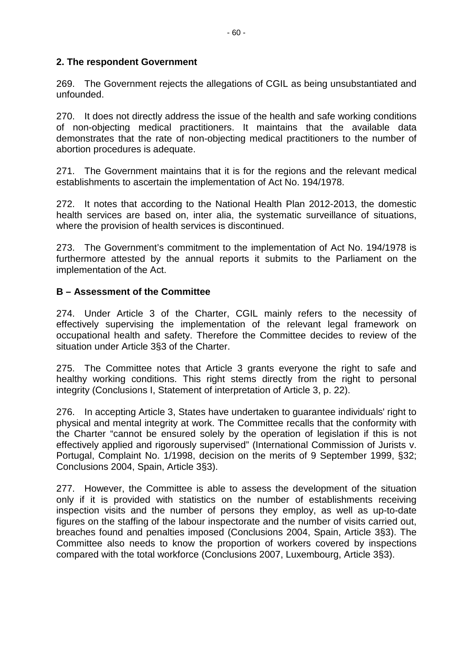## **2. The respondent Government**

269. The Government rejects the allegations of CGIL as being unsubstantiated and unfounded.

270. It does not directly address the issue of the health and safe working conditions of non-objecting medical practitioners. It maintains that the available data demonstrates that the rate of non-objecting medical practitioners to the number of abortion procedures is adequate.

271. The Government maintains that it is for the regions and the relevant medical establishments to ascertain the implementation of Act No. 194/1978.

272. It notes that according to the National Health Plan 2012-2013, the domestic health services are based on, inter alia, the systematic surveillance of situations, where the provision of health services is discontinued.

273. The Government's commitment to the implementation of Act No. 194/1978 is furthermore attested by the annual reports it submits to the Parliament on the implementation of the Act.

## **B – Assessment of the Committee**

274. Under Article 3 of the Charter, CGIL mainly refers to the necessity of effectively supervising the implementation of the relevant legal framework on occupational health and safety. Therefore the Committee decides to review of the situation under Article 3§3 of the Charter.

275. The Committee notes that Article 3 grants everyone the right to safe and healthy working conditions. This right stems directly from the right to personal integrity (Conclusions I, Statement of interpretation of Article 3, p. 22).

276. In accepting Article 3, States have undertaken to guarantee individuals' right to physical and mental integrity at work. The Committee recalls that the conformity with the Charter "cannot be ensured solely by the operation of legislation if this is not effectively applied and rigorously supervised" (International Commission of Jurists v. Portugal, Complaint No. 1/1998, decision on the merits of 9 September 1999, §32; Conclusions 2004, Spain, Article 3§3).

277. However, the Committee is able to assess the development of the situation only if it is provided with statistics on the number of establishments receiving inspection visits and the number of persons they employ, as well as up-to-date figures on the staffing of the labour inspectorate and the number of visits carried out, breaches found and penalties imposed (Conclusions 2004, Spain, Article 3§3). The Committee also needs to know the proportion of workers covered by inspections compared with the total workforce (Conclusions 2007, Luxembourg, Article 3§3).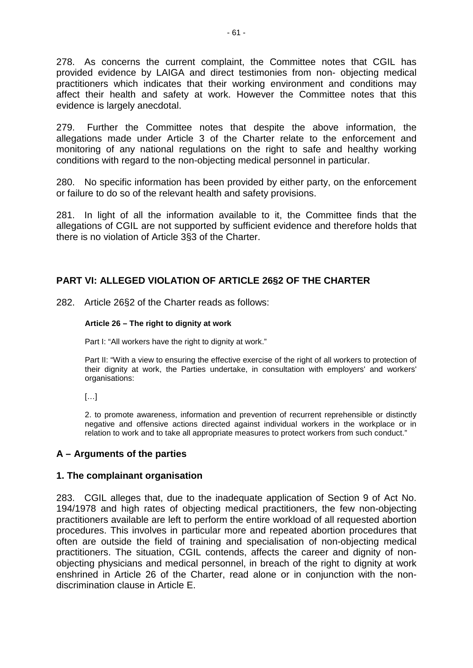278. As concerns the current complaint, the Committee notes that CGIL has provided evidence by LAIGA and direct testimonies from non- objecting medical practitioners which indicates that their working environment and conditions may affect their health and safety at work. However the Committee notes that this evidence is largely anecdotal.

279. Further the Committee notes that despite the above information, the allegations made under Article 3 of the Charter relate to the enforcement and monitoring of any national regulations on the right to safe and healthy working conditions with regard to the non-objecting medical personnel in particular.

280. No specific information has been provided by either party, on the enforcement or failure to do so of the relevant health and safety provisions.

281. In light of all the information available to it, the Committee finds that the allegations of CGIL are not supported by sufficient evidence and therefore holds that there is no violation of Article 3§3 of the Charter.

# **PART VI: ALLEGED VIOLATION OF ARTICLE 26§2 OF THE CHARTER**

282. Article 26§2 of the Charter reads as follows:

#### **Article 26 – The right to dignity at work**

Part I: "All workers have the right to dignity at work."

Part II: "With a view to ensuring the effective exercise of the right of all workers to protection of their dignity at work, the Parties undertake, in consultation with employers' and workers' organisations:

[…]

2. to promote awareness, information and prevention of recurrent reprehensible or distinctly negative and offensive actions directed against individual workers in the workplace or in relation to work and to take all appropriate measures to protect workers from such conduct."

## **A – Arguments of the parties**

## **1. The complainant organisation**

283. CGIL alleges that, due to the inadequate application of Section 9 of Act No. 194/1978 and high rates of objecting medical practitioners, the few non-objecting practitioners available are left to perform the entire workload of all requested abortion procedures. This involves in particular more and repeated abortion procedures that often are outside the field of training and specialisation of non-objecting medical practitioners. The situation, CGIL contends, affects the career and dignity of nonobjecting physicians and medical personnel, in breach of the right to dignity at work enshrined in Article 26 of the Charter, read alone or in conjunction with the nondiscrimination clause in Article E.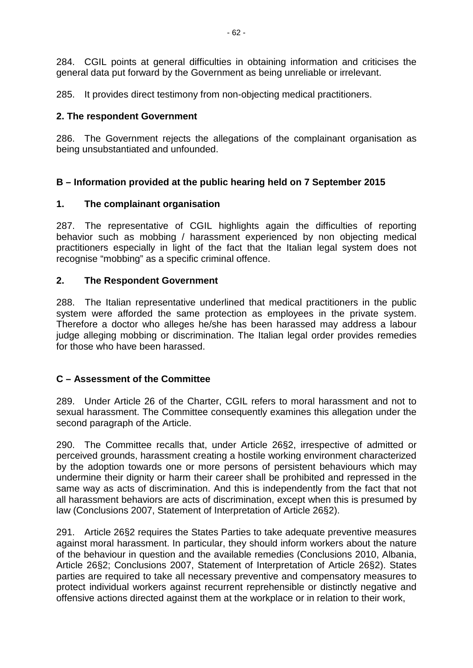284. CGIL points at general difficulties in obtaining information and criticises the general data put forward by the Government as being unreliable or irrelevant.

285. It provides direct testimony from non-objecting medical practitioners.

## **2. The respondent Government**

286. The Government rejects the allegations of the complainant organisation as being unsubstantiated and unfounded.

# **B – Information provided at the public hearing held on 7 September 2015**

# **1. The complainant organisation**

287. The representative of CGIL highlights again the difficulties of reporting behavior such as mobbing / harassment experienced by non objecting medical practitioners especially in light of the fact that the Italian legal system does not recognise "mobbing" as a specific criminal offence.

## **2. The Respondent Government**

288. The Italian representative underlined that medical practitioners in the public system were afforded the same protection as employees in the private system. Therefore a doctor who alleges he/she has been harassed may address a labour judge alleging mobbing or discrimination. The Italian legal order provides remedies for those who have been harassed.

# **C – Assessment of the Committee**

289. Under Article 26 of the Charter, CGIL refers to moral harassment and not to sexual harassment. The Committee consequently examines this allegation under the second paragraph of the Article.

290. The Committee recalls that, under Article 26§2, irrespective of admitted or perceived grounds, harassment creating a hostile working environment characterized by the adoption towards one or more persons of persistent behaviours which may undermine their dignity or harm their career shall be prohibited and repressed in the same way as acts of discrimination. And this is independently from the fact that not all harassment behaviors are acts of discrimination, except when this is presumed by law (Conclusions 2007, Statement of Interpretation of Article 26§2).

291. Article 26§2 requires the States Parties to take adequate preventive measures against moral harassment. In particular, they should inform workers about the nature of the behaviour in question and the available remedies (Conclusions 2010, Albania, Article 26§2; Conclusions 2007, Statement of Interpretation of Article 26§2). States parties are required to take all necessary preventive and compensatory measures to protect individual workers against recurrent reprehensible or distinctly negative and offensive actions directed against them at the workplace or in relation to their work,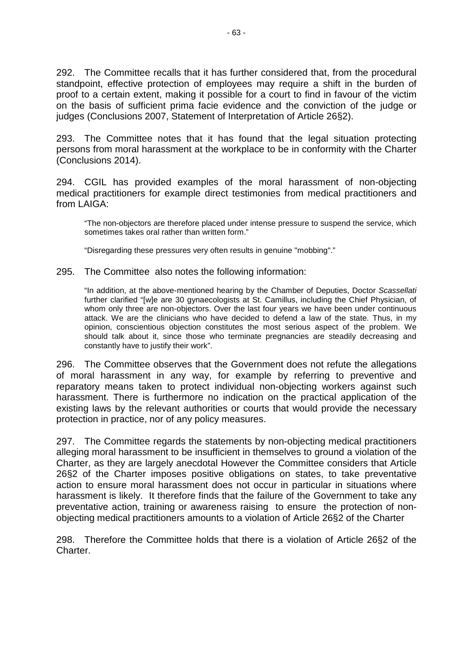292. The Committee recalls that it has further considered that, from the procedural standpoint, effective protection of employees may require a shift in the burden of proof to a certain extent, making it possible for a court to find in favour of the victim on the basis of sufficient prima facie evidence and the conviction of the judge or judges (Conclusions 2007, Statement of Interpretation of Article 26§2).

293. The Committee notes that it has found that the legal situation protecting persons from moral harassment at the workplace to be in conformity with the Charter (Conclusions 2014).

294. CGIL has provided examples of the moral harassment of non-objecting medical practitioners for example direct testimonies from medical practitioners and from LAIGA:

"The non-objectors are therefore placed under intense pressure to suspend the service, which sometimes takes oral rather than written form."

"Disregarding these pressures very often results in genuine "mobbing"."

295. The Committee also notes the following information:

"In addition, at the above-mentioned hearing by the Chamber of Deputies, Doctor *Scassellati*  further clarified "[w]e are 30 gynaecologists at St. Camillus, including the Chief Physician, of whom only three are non-objectors. Over the last four years we have been under continuous attack. We are the clinicians who have decided to defend a law of the state. Thus, in my opinion, conscientious objection constitutes the most serious aspect of the problem. We should talk about it, since those who terminate pregnancies are steadily decreasing and constantly have to justify their work".

296. The Committee observes that the Government does not refute the allegations of moral harassment in any way, for example by referring to preventive and reparatory means taken to protect individual non-objecting workers against such harassment. There is furthermore no indication on the practical application of the existing laws by the relevant authorities or courts that would provide the necessary protection in practice, nor of any policy measures.

297. The Committee regards the statements by non-objecting medical practitioners alleging moral harassment to be insufficient in themselves to ground a violation of the Charter, as they are largely anecdotal However the Committee considers that Article 26§2 of the Charter imposes positive obligations on states, to take preventative action to ensure moral harassment does not occur in particular in situations where harassment is likely. It therefore finds that the failure of the Government to take any preventative action, training or awareness raising to ensure the protection of nonobjecting medical practitioners amounts to a violation of Article 26§2 of the Charter

298. Therefore the Committee holds that there is a violation of Article 26§2 of the Charter.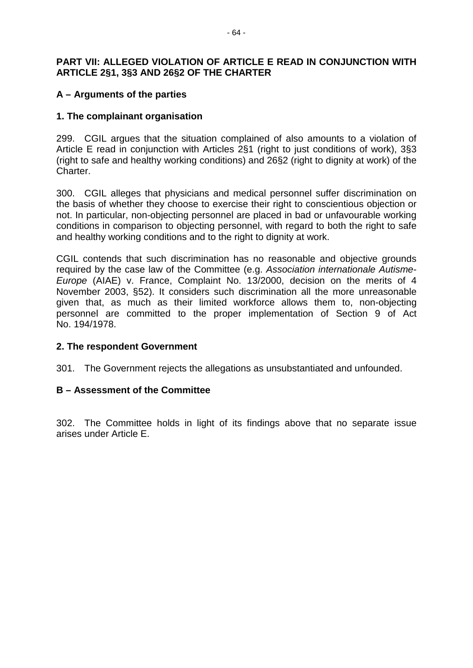## **PART VII: ALLEGED VIOLATION OF ARTICLE E READ IN CONJUNCTION WITH ARTICLE 2§1, 3§3 AND 26§2 OF THE CHARTER**

## **A – Arguments of the parties**

## **1. The complainant organisation**

299. CGIL argues that the situation complained of also amounts to a violation of Article E read in conjunction with Articles 2§1 (right to just conditions of work), 3§3 (right to safe and healthy working conditions) and 26§2 (right to dignity at work) of the Charter.

300. CGIL alleges that physicians and medical personnel suffer discrimination on the basis of whether they choose to exercise their right to conscientious objection or not. In particular, non-objecting personnel are placed in bad or unfavourable working conditions in comparison to objecting personnel, with regard to both the right to safe and healthy working conditions and to the right to dignity at work.

CGIL contends that such discrimination has no reasonable and objective grounds required by the case law of the Committee (e.g. *Association internationale Autisme-Europe* (AIAE) v. France, Complaint No. 13/2000, decision on the merits of 4 November 2003, §52). It considers such discrimination all the more unreasonable given that, as much as their limited workforce allows them to, non-objecting personnel are committed to the proper implementation of Section 9 of Act No. 194/1978.

## **2. The respondent Government**

301. The Government rejects the allegations as unsubstantiated and unfounded.

## **B – Assessment of the Committee**

302. The Committee holds in light of its findings above that no separate issue arises under Article E.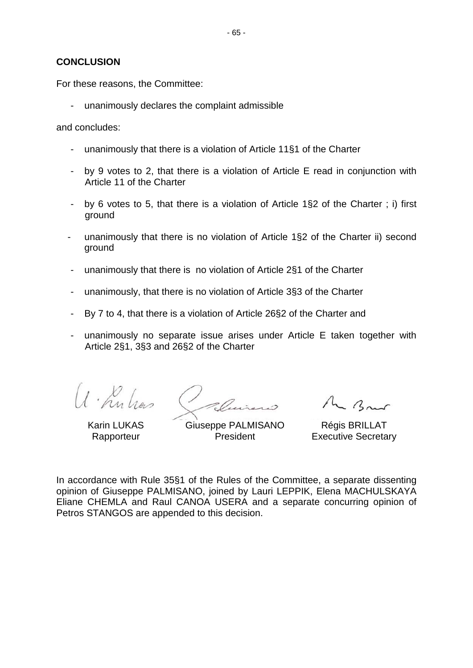### **CONCLUSION**

For these reasons, the Committee:

unanimously declares the complaint admissible

and concludes:

- unanimously that there is a violation of Article 11§1 of the Charter
- by 9 votes to 2, that there is a violation of Article E read in conjunction with Article 11 of the Charter
- by 6 votes to 5, that there is a violation of Article 1§2 of the Charter ; i) first ground
- unanimously that there is no violation of Article 1§2 of the Charter ii) second ground
- unanimously that there is no violation of Article 2§1 of the Charter
- unanimously, that there is no violation of Article 3§3 of the Charter
- By 7 to 4, that there is a violation of Article 26§2 of the Charter and
- unanimously no separate issue arises under Article E taken together with Article 2§1, 3§3 and 26§2 of the Charter

U. Kulies

Karin LUKAS **Rapporteur** 

Giuseppe PALMISANO President

M Brus

Régis BRILLAT Executive Secretary

In accordance with Rule 35§1 of the Rules of the Committee, a separate dissenting opinion of Giuseppe PALMISANO, joined by Lauri LEPPIK, Elena MACHULSKAYA Eliane CHEMLA and Raul CANOA USERA and a separate concurring opinion of Petros STANGOS are appended to this decision.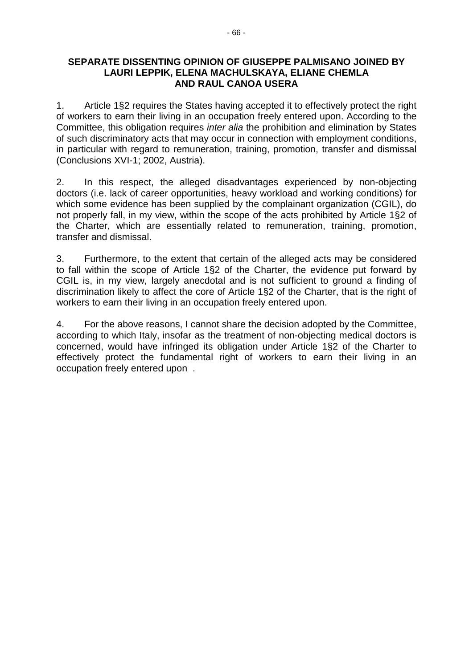### **SEPARATE DISSENTING OPINION OF GIUSEPPE PALMISANO JOINED BY LAURI LEPPIK, ELENA MACHULSKAYA, ELIANE CHEMLA AND RAUL CANOA USERA**

1. Article 1§2 requires the States having accepted it to effectively protect the right of workers to earn their living in an occupation freely entered upon. According to the Committee, this obligation requires *inter alia* the prohibition and elimination by States of such discriminatory acts that may occur in connection with employment conditions, in particular with regard to remuneration, training, promotion, transfer and dismissal (Conclusions XVI-1; 2002, Austria).

2. In this respect, the alleged disadvantages experienced by non-objecting doctors (i.e. lack of career opportunities, heavy workload and working conditions) for which some evidence has been supplied by the complainant organization (CGIL), do not properly fall, in my view, within the scope of the acts prohibited by Article 1§2 of the Charter, which are essentially related to remuneration, training, promotion, transfer and dismissal.

3. Furthermore, to the extent that certain of the alleged acts may be considered to fall within the scope of Article 1§2 of the Charter, the evidence put forward by CGIL is, in my view, largely anecdotal and is not sufficient to ground a finding of discrimination likely to affect the core of Article 1§2 of the Charter, that is the right of workers to earn their living in an occupation freely entered upon.

4. For the above reasons, I cannot share the decision adopted by the Committee, according to which Italy, insofar as the treatment of non-objecting medical doctors is concerned, would have infringed its obligation under Article 1§2 of the Charter to effectively protect the fundamental right of workers to earn their living in an occupation freely entered upon .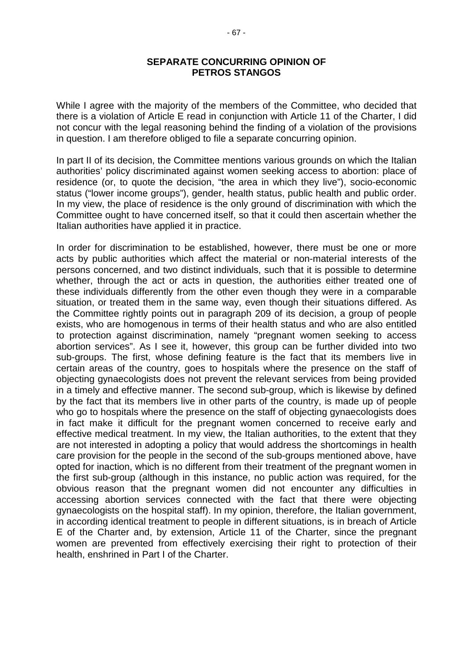### **SEPARATE CONCURRING OPINION OF PETROS STANGOS**

While I agree with the majority of the members of the Committee, who decided that there is a violation of Article E read in conjunction with Article 11 of the Charter, I did not concur with the legal reasoning behind the finding of a violation of the provisions in question. I am therefore obliged to file a separate concurring opinion.

In part II of its decision, the Committee mentions various grounds on which the Italian authorities' policy discriminated against women seeking access to abortion: place of residence (or, to quote the decision, "the area in which they live"), socio-economic status ("lower income groups"), gender, health status, public health and public order. In my view, the place of residence is the only ground of discrimination with which the Committee ought to have concerned itself, so that it could then ascertain whether the Italian authorities have applied it in practice.

In order for discrimination to be established, however, there must be one or more acts by public authorities which affect the material or non-material interests of the persons concerned, and two distinct individuals, such that it is possible to determine whether, through the act or acts in question, the authorities either treated one of these individuals differently from the other even though they were in a comparable situation, or treated them in the same way, even though their situations differed. As the Committee rightly points out in paragraph 209 of its decision, a group of people exists, who are homogenous in terms of their health status and who are also entitled to protection against discrimination, namely "pregnant women seeking to access abortion services". As I see it, however, this group can be further divided into two sub-groups. The first, whose defining feature is the fact that its members live in certain areas of the country, goes to hospitals where the presence on the staff of objecting gynaecologists does not prevent the relevant services from being provided in a timely and effective manner. The second sub-group, which is likewise by defined by the fact that its members live in other parts of the country, is made up of people who go to hospitals where the presence on the staff of objecting gynaecologists does in fact make it difficult for the pregnant women concerned to receive early and effective medical treatment. In my view, the Italian authorities, to the extent that they are not interested in adopting a policy that would address the shortcomings in health care provision for the people in the second of the sub-groups mentioned above, have opted for inaction, which is no different from their treatment of the pregnant women in the first sub-group (although in this instance, no public action was required, for the obvious reason that the pregnant women did not encounter any difficulties in accessing abortion services connected with the fact that there were objecting gynaecologists on the hospital staff). In my opinion, therefore, the Italian government, in according identical treatment to people in different situations, is in breach of Article E of the Charter and, by extension, Article 11 of the Charter, since the pregnant women are prevented from effectively exercising their right to protection of their health, enshrined in Part I of the Charter.